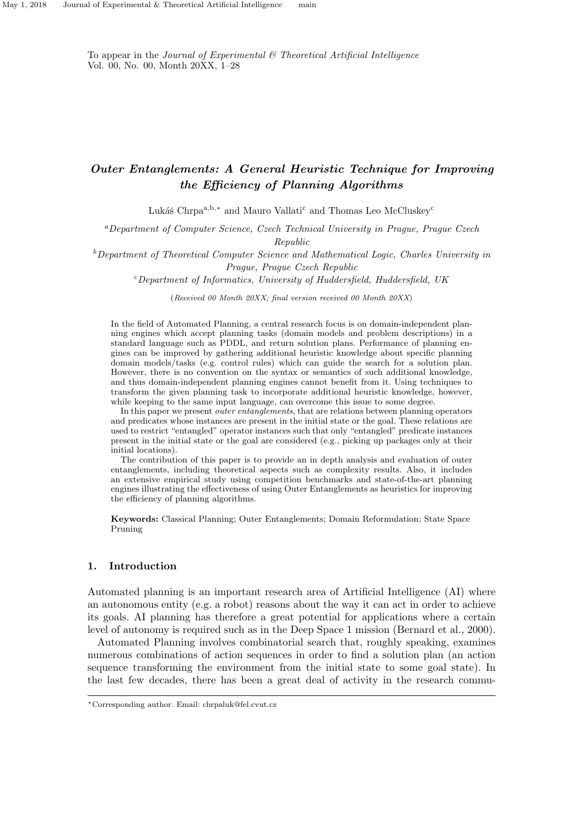To appear in the Journal of Experimental  $\mathcal B$  Theoretical Artificial Intelligence Vol. 00, No. 00, Month 20XX, 1–28

# Outer Entanglements: A General Heuristic Technique for Improving the Efficiency of Planning Algorithms

Lukáš Chrpa<sup>a,b,∗</sup> and Mauro Vallati<sup>c</sup> and Thomas Leo McCluskey<sup>c</sup>

<sup>a</sup>Department of Computer Science, Czech Technical University in Prague, Prague Czech

Republic

 $b$ Department of Theoretical Computer Science and Mathematical Logic, Charles University in Prague, Prague Czech Republic

 $c$ Department of Informatics, University of Huddersfield, Huddersfield, UK

(Received 00 Month 20XX; final version received 00 Month 20XX)

In the field of Automated Planning, a central research focus is on domain-independent planning engines which accept planning tasks (domain models and problem descriptions) in a standard language such as PDDL, and return solution plans. Performance of planning engines can be improved by gathering additional heuristic knowledge about specific planning domain models/tasks (e.g. control rules) which can guide the search for a solution plan. However, there is no convention on the syntax or semantics of such additional knowledge, and thus domain-independent planning engines cannot benefit from it. Using techniques to transform the given planning task to incorporate additional heuristic knowledge, however, while keeping to the same input language, can overcome this issue to some degree.

In this paper we present *outer entanglements*, that are relations between planning operators and predicates whose instances are present in the initial state or the goal. These relations are used to restrict "entangled" operator instances such that only "entangled" predicate instances present in the initial state or the goal are considered (e.g., picking up packages only at their initial locations).

The contribution of this paper is to provide an in depth analysis and evaluation of outer entanglements, including theoretical aspects such as complexity results. Also, it includes an extensive empirical study using competition benchmarks and state-of-the-art planning engines illustrating the effectiveness of using Outer Entanglements as heuristics for improving the efficiency of planning algorithms.

Keywords: Classical Planning; Outer Entanglements; Domain Reformulation; State Space Pruning

#### 1. Introduction

Automated planning is an important research area of Artificial Intelligence (AI) where an autonomous entity (e.g. a robot) reasons about the way it can act in order to achieve its goals. AI planning has therefore a great potential for applications where a certain level of autonomy is required such as in the Deep Space 1 mission (Bernard et al., 2000).

Automated Planning involves combinatorial search that, roughly speaking, examines numerous combinations of action sequences in order to find a solution plan (an action sequence transforming the environment from the initial state to some goal state). In the last few decades, there has been a great deal of activity in the research commu-

<sup>∗</sup>Corresponding author. Email: chrpaluk@fel.cvut.cz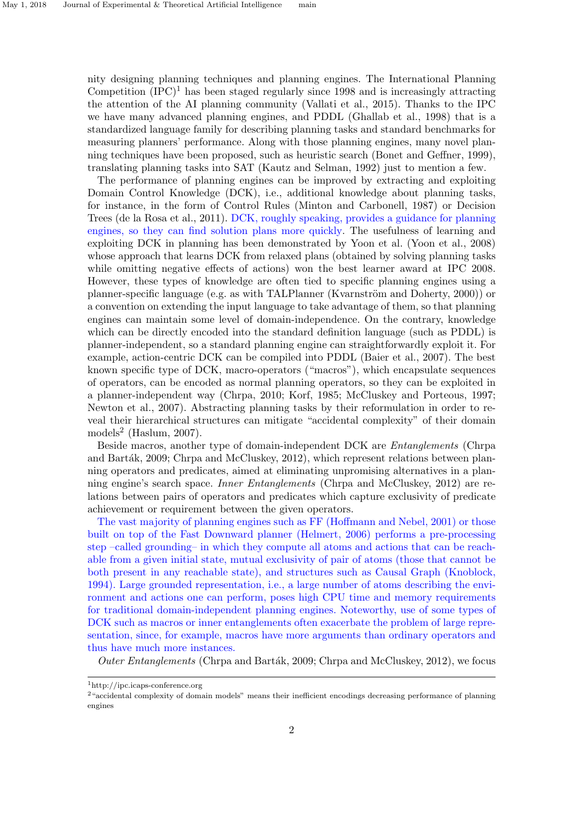nity designing planning techniques and planning engines. The International Planning Competition  $(IPC)^1$  has been staged regularly since 1998 and is increasingly attracting the attention of the AI planning community (Vallati et al., 2015). Thanks to the IPC we have many advanced planning engines, and PDDL (Ghallab et al., 1998) that is a standardized language family for describing planning tasks and standard benchmarks for measuring planners' performance. Along with those planning engines, many novel planning techniques have been proposed, such as heuristic search (Bonet and Geffner, 1999), translating planning tasks into SAT (Kautz and Selman, 1992) just to mention a few.

The performance of planning engines can be improved by extracting and exploiting Domain Control Knowledge (DCK), i.e., additional knowledge about planning tasks, for instance, in the form of Control Rules (Minton and Carbonell, 1987) or Decision Trees (de la Rosa et al., 2011). DCK, roughly speaking, provides a guidance for planning engines, so they can find solution plans more quickly. The usefulness of learning and exploiting DCK in planning has been demonstrated by Yoon et al. (Yoon et al., 2008) whose approach that learns DCK from relaxed plans (obtained by solving planning tasks while omitting negative effects of actions) won the best learner award at IPC 2008. However, these types of knowledge are often tied to specific planning engines using a planner-specific language (e.g. as with TALPlanner (Kvarnström and Doherty, 2000)) or a convention on extending the input language to take advantage of them, so that planning engines can maintain some level of domain-independence. On the contrary, knowledge which can be directly encoded into the standard definition language (such as PDDL) is planner-independent, so a standard planning engine can straightforwardly exploit it. For example, action-centric DCK can be compiled into PDDL (Baier et al., 2007). The best known specific type of DCK, macro-operators ("macros"), which encapsulate sequences of operators, can be encoded as normal planning operators, so they can be exploited in a planner-independent way (Chrpa, 2010; Korf, 1985; McCluskey and Porteous, 1997; Newton et al., 2007). Abstracting planning tasks by their reformulation in order to reveal their hierarchical structures can mitigate "accidental complexity" of their domain models<sup>2</sup> (Haslum, 2007).

Beside macros, another type of domain-independent DCK are Entanglements (Chrpa and Barták, 2009; Chrpa and McCluskey, 2012), which represent relations between planning operators and predicates, aimed at eliminating unpromising alternatives in a planning engine's search space. Inner Entanglements (Chrpa and McCluskey, 2012) are relations between pairs of operators and predicates which capture exclusivity of predicate achievement or requirement between the given operators.

The vast majority of planning engines such as FF (Hoffmann and Nebel, 2001) or those built on top of the Fast Downward planner (Helmert, 2006) performs a pre-processing step –called grounding– in which they compute all atoms and actions that can be reachable from a given initial state, mutual exclusivity of pair of atoms (those that cannot be both present in any reachable state), and structures such as Causal Graph (Knoblock, 1994). Large grounded representation, i.e., a large number of atoms describing the environment and actions one can perform, poses high CPU time and memory requirements for traditional domain-independent planning engines. Noteworthy, use of some types of DCK such as macros or inner entanglements often exacerbate the problem of large representation, since, for example, macros have more arguments than ordinary operators and thus have much more instances.

Outer Entanglements (Chrpa and Barták, 2009; Chrpa and McCluskey, 2012), we focus

<sup>1</sup>http://ipc.icaps-conference.org

<sup>&</sup>lt;sup>2</sup>"accidental complexity of domain models" means their inefficient encodings decreasing performance of planning engines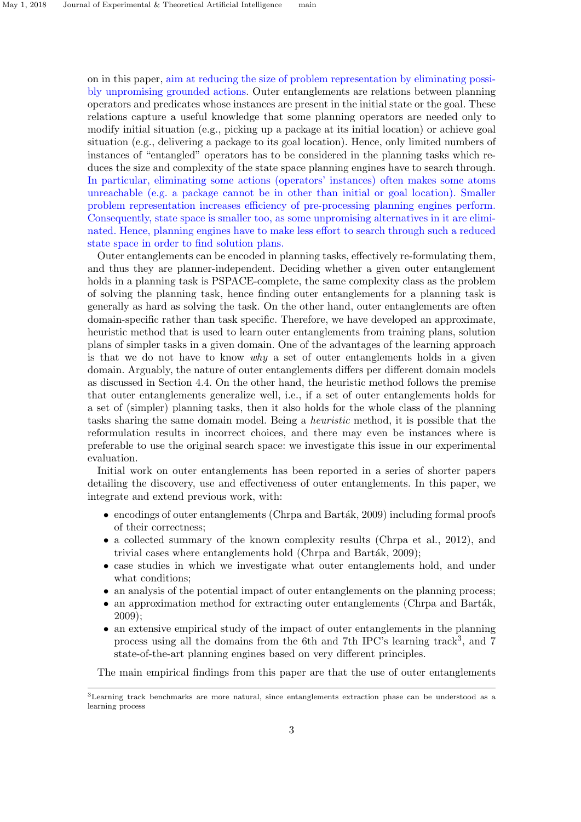on in this paper, aim at reducing the size of problem representation by eliminating possibly unpromising grounded actions. Outer entanglements are relations between planning operators and predicates whose instances are present in the initial state or the goal. These relations capture a useful knowledge that some planning operators are needed only to modify initial situation (e.g., picking up a package at its initial location) or achieve goal situation (e.g., delivering a package to its goal location). Hence, only limited numbers of instances of "entangled" operators has to be considered in the planning tasks which reduces the size and complexity of the state space planning engines have to search through. In particular, eliminating some actions (operators' instances) often makes some atoms unreachable (e.g. a package cannot be in other than initial or goal location). Smaller problem representation increases efficiency of pre-processing planning engines perform. Consequently, state space is smaller too, as some unpromising alternatives in it are eliminated. Hence, planning engines have to make less effort to search through such a reduced state space in order to find solution plans.

Outer entanglements can be encoded in planning tasks, effectively re-formulating them, and thus they are planner-independent. Deciding whether a given outer entanglement holds in a planning task is PSPACE-complete, the same complexity class as the problem of solving the planning task, hence finding outer entanglements for a planning task is generally as hard as solving the task. On the other hand, outer entanglements are often domain-specific rather than task specific. Therefore, we have developed an approximate, heuristic method that is used to learn outer entanglements from training plans, solution plans of simpler tasks in a given domain. One of the advantages of the learning approach is that we do not have to know why a set of outer entanglements holds in a given domain. Arguably, the nature of outer entanglements differs per different domain models as discussed in Section 4.4. On the other hand, the heuristic method follows the premise that outer entanglements generalize well, i.e., if a set of outer entanglements holds for a set of (simpler) planning tasks, then it also holds for the whole class of the planning tasks sharing the same domain model. Being a heuristic method, it is possible that the reformulation results in incorrect choices, and there may even be instances where is preferable to use the original search space: we investigate this issue in our experimental evaluation.

Initial work on outer entanglements has been reported in a series of shorter papers detailing the discovery, use and effectiveness of outer entanglements. In this paper, we integrate and extend previous work, with:

- encodings of outer entanglements (Chrpa and Barták, 2009) including formal proofs of their correctness;
- a collected summary of the known complexity results (Chrpa et al., 2012), and trivial cases where entanglements hold (Chrpa and Barták,  $2009$ );
- case studies in which we investigate what outer entanglements hold, and under what conditions:
- an analysis of the potential impact of outer entanglements on the planning process;
- $\bullet$  an approximation method for extracting outer entanglements (Chrpa and Barták, 2009);
- an extensive empirical study of the impact of outer entanglements in the planning process using all the domains from the 6th and 7th IPC's learning track<sup>3</sup>, and 7 state-of-the-art planning engines based on very different principles.

The main empirical findings from this paper are that the use of outer entanglements

<sup>3</sup>Learning track benchmarks are more natural, since entanglements extraction phase can be understood as a learning process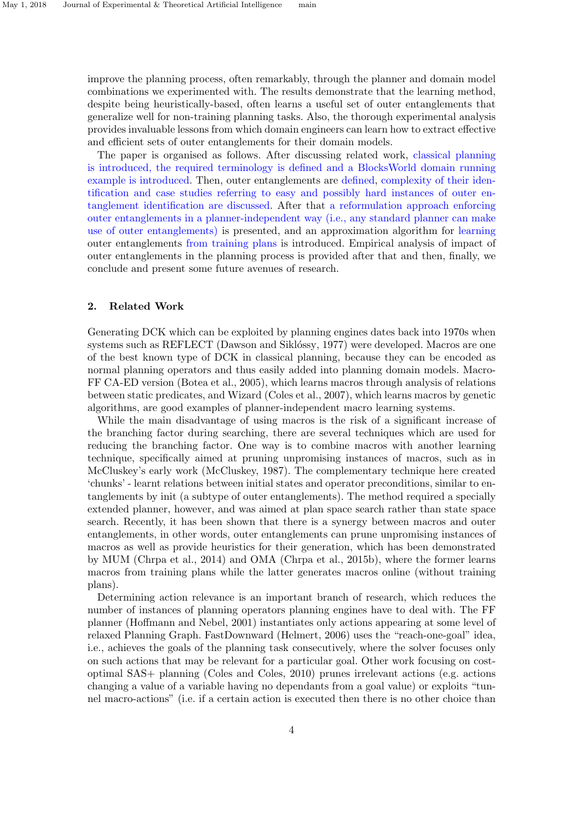improve the planning process, often remarkably, through the planner and domain model combinations we experimented with. The results demonstrate that the learning method, despite being heuristically-based, often learns a useful set of outer entanglements that generalize well for non-training planning tasks. Also, the thorough experimental analysis provides invaluable lessons from which domain engineers can learn how to extract effective and efficient sets of outer entanglements for their domain models.

The paper is organised as follows. After discussing related work, classical planning is introduced, the required terminology is defined and a BlocksWorld domain running example is introduced. Then, outer entanglements are defined, complexity of their identification and case studies referring to easy and possibly hard instances of outer entanglement identification are discussed. After that a reformulation approach enforcing outer entanglements in a planner-independent way (i.e., any standard planner can make use of outer entanglements) is presented, and an approximation algorithm for learning outer entanglements from training plans is introduced. Empirical analysis of impact of outer entanglements in the planning process is provided after that and then, finally, we conclude and present some future avenues of research.

## 2. Related Work

Generating DCK which can be exploited by planning engines dates back into 1970s when systems such as REFLECT (Dawson and Siklóssy, 1977) were developed. Macros are one of the best known type of DCK in classical planning, because they can be encoded as normal planning operators and thus easily added into planning domain models. Macro-FF CA-ED version (Botea et al., 2005), which learns macros through analysis of relations between static predicates, and Wizard (Coles et al., 2007), which learns macros by genetic algorithms, are good examples of planner-independent macro learning systems.

While the main disadvantage of using macros is the risk of a significant increase of the branching factor during searching, there are several techniques which are used for reducing the branching factor. One way is to combine macros with another learning technique, specifically aimed at pruning unpromising instances of macros, such as in McCluskey's early work (McCluskey, 1987). The complementary technique here created 'chunks' - learnt relations between initial states and operator preconditions, similar to entanglements by init (a subtype of outer entanglements). The method required a specially extended planner, however, and was aimed at plan space search rather than state space search. Recently, it has been shown that there is a synergy between macros and outer entanglements, in other words, outer entanglements can prune unpromising instances of macros as well as provide heuristics for their generation, which has been demonstrated by MUM (Chrpa et al., 2014) and OMA (Chrpa et al., 2015b), where the former learns macros from training plans while the latter generates macros online (without training plans).

Determining action relevance is an important branch of research, which reduces the number of instances of planning operators planning engines have to deal with. The FF planner (Hoffmann and Nebel, 2001) instantiates only actions appearing at some level of relaxed Planning Graph. FastDownward (Helmert, 2006) uses the "reach-one-goal" idea, i.e., achieves the goals of the planning task consecutively, where the solver focuses only on such actions that may be relevant for a particular goal. Other work focusing on costoptimal SAS+ planning (Coles and Coles, 2010) prunes irrelevant actions (e.g. actions changing a value of a variable having no dependants from a goal value) or exploits "tunnel macro-actions" (i.e. if a certain action is executed then there is no other choice than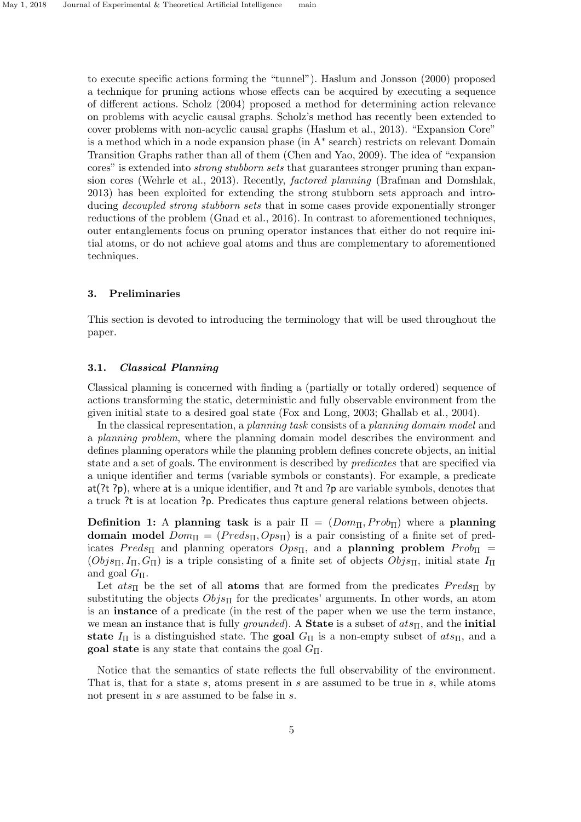to execute specific actions forming the "tunnel"). Haslum and Jonsson (2000) proposed a technique for pruning actions whose effects can be acquired by executing a sequence of different actions. Scholz (2004) proposed a method for determining action relevance on problems with acyclic causal graphs. Scholz's method has recently been extended to cover problems with non-acyclic causal graphs (Haslum et al., 2013). "Expansion Core" is a method which in a node expansion phase (in A<sup>∗</sup> search) restricts on relevant Domain Transition Graphs rather than all of them (Chen and Yao, 2009). The idea of "expansion cores" is extended into strong stubborn sets that guarantees stronger pruning than expansion cores (Wehrle et al., 2013). Recently, factored planning (Brafman and Domshlak, 2013) has been exploited for extending the strong stubborn sets approach and introducing *decoupled strong stubborn sets* that in some cases provide exponentially stronger reductions of the problem (Gnad et al., 2016). In contrast to aforementioned techniques, outer entanglements focus on pruning operator instances that either do not require initial atoms, or do not achieve goal atoms and thus are complementary to aforementioned techniques.

## 3. Preliminaries

This section is devoted to introducing the terminology that will be used throughout the paper.

## 3.1. Classical Planning

Classical planning is concerned with finding a (partially or totally ordered) sequence of actions transforming the static, deterministic and fully observable environment from the given initial state to a desired goal state (Fox and Long, 2003; Ghallab et al., 2004).

In the classical representation, a planning task consists of a planning domain model and a planning problem, where the planning domain model describes the environment and defines planning operators while the planning problem defines concrete objects, an initial state and a set of goals. The environment is described by predicates that are specified via a unique identifier and terms (variable symbols or constants). For example, a predicate at(?t ?p), where at is a unique identifier, and ?t and ?p are variable symbols, denotes that a truck ?t is at location ?p. Predicates thus capture general relations between objects.

**Definition 1:** A planning task is a pair  $\Pi = (Dom_{\Pi}, Prob_{\Pi})$  where a planning domain model  $Dom_{\Pi} = (Pred_{\Pi}, Op_{\Pi})$  is a pair consisting of a finite set of predicates Preds<sub>Π</sub> and planning operators Ops<sub>Π</sub>, and a **planning problem** Prob<sub>Π</sub> =  $(Objs<sub>II</sub>, I<sub>II</sub>, G<sub>II</sub>)$  is a triple consisting of a finite set of objects  $Objs<sub>II</sub>$ , initial state  $I<sub>II</sub>$ and goal  $G_{\Pi}$ .

Let  $ats_\Pi$  be the set of all atoms that are formed from the predicates  $Preds_\Pi$  by substituting the objects  $Objs<sub>II</sub>$  for the predicates' arguments. In other words, an atom is an instance of a predicate (in the rest of the paper when we use the term instance, we mean an instance that is fully grounded). A **State** is a subset of  $ats_{\Pi}$ , and the **initial** state  $I_{\Pi}$  is a distinguished state. The goal  $G_{\Pi}$  is a non-empty subset of  $ats_{\Pi}$ , and a goal state is any state that contains the goal  $G_{\Pi}$ .

Notice that the semantics of state reflects the full observability of the environment. That is, that for a state s, atoms present in s are assumed to be true in s, while atoms not present in s are assumed to be false in s.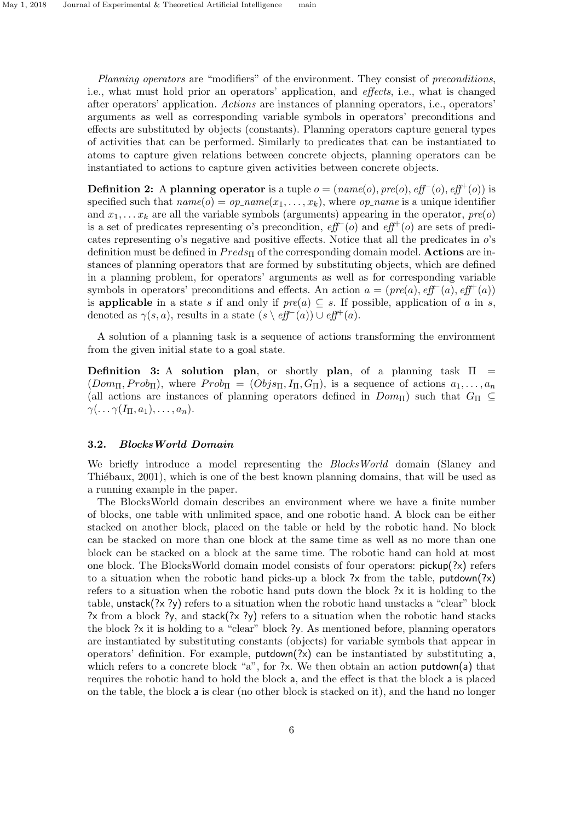Planning operators are "modifiers" of the environment. They consist of preconditions, i.e., what must hold prior an operators' application, and effects, i.e., what is changed after operators' application. Actions are instances of planning operators, i.e., operators' arguments as well as corresponding variable symbols in operators' preconditions and effects are substituted by objects (constants). Planning operators capture general types of activities that can be performed. Similarly to predicates that can be instantiated to atoms to capture given relations between concrete objects, planning operators can be instantiated to actions to capture given activities between concrete objects.

**Definition 2:** A planning operator is a tuple  $o = (name(o), pre(o), eff^-(o), eff^+(o))$  is specified such that  $name(o) = op_name(x_1, \ldots, x_k)$ , where  $op_name$  is a unique identifier and  $x_1, \ldots, x_k$  are all the variable symbols (arguments) appearing in the operator,  $pre(o)$ is a set of predicates representing o's precondition,  $eff<sup>-</sup>(o)$  and  $eff<sup>+</sup>(o)$  are sets of predicates representing o's negative and positive effects. Notice that all the predicates in o's definition must be defined in  $Pred_{\text{ST}}$  of the corresponding domain model. Actions are instances of planning operators that are formed by substituting objects, which are defined in a planning problem, for operators' arguments as well as for corresponding variable symbols in operators' preconditions and effects. An action  $a = (pre(a), eff^-(a), eff^+(a))$ is applicable in a state s if and only if  $pre(a) \subseteq s$ . If possible, application of a in s, denoted as  $\gamma(s, a)$ , results in a state  $(s \setminus \text{eff}^-(a)) \cup \text{eff}^+(a)$ .

A solution of a planning task is a sequence of actions transforming the environment from the given initial state to a goal state.

**Definition 3:** A solution plan, or shortly plan, of a planning task  $\Pi$  =  $(Dom_{\Pi}, Prob_{\Pi})$ , where  $Prob_{\Pi} = (Objs_{\Pi}, I_{\Pi}, G_{\Pi})$ , is a sequence of actions  $a_1, \ldots, a_n$ (all actions are instances of planning operators defined in  $Dom_{\Pi}$ ) such that  $G_{\Pi} \subseteq$  $\gamma(\ldots \gamma(I_{\Pi}, a_1), \ldots, a_n).$ 

#### 3.2. BlocksWorld Domain

We briefly introduce a model representing the *BlocksWorld* domain (Slaney and Thiébaux, 2001), which is one of the best known planning domains, that will be used as a running example in the paper.

The BlocksWorld domain describes an environment where we have a finite number of blocks, one table with unlimited space, and one robotic hand. A block can be either stacked on another block, placed on the table or held by the robotic hand. No block can be stacked on more than one block at the same time as well as no more than one block can be stacked on a block at the same time. The robotic hand can hold at most one block. The BlocksWorld domain model consists of four operators:  $picture(2x)$  refers to a situation when the robotic hand picks-up a block ?x from the table, putdown(?x) refers to a situation when the robotic hand puts down the block ?x it is holding to the table, unstack $(?x ?y)$  refers to a situation when the robotic hand unstacks a "clear" block ?x from a block ?y, and stack(?x ?y) refers to a situation when the robotic hand stacks the block ?x it is holding to a "clear" block ?y. As mentioned before, planning operators are instantiated by substituting constants (objects) for variable symbols that appear in operators' definition. For example,  $\text{putdown}(?x)$  can be instantiated by substituting a, which refers to a concrete block "a", for ?x. We then obtain an action putdown(a) that requires the robotic hand to hold the block a, and the effect is that the block a is placed on the table, the block a is clear (no other block is stacked on it), and the hand no longer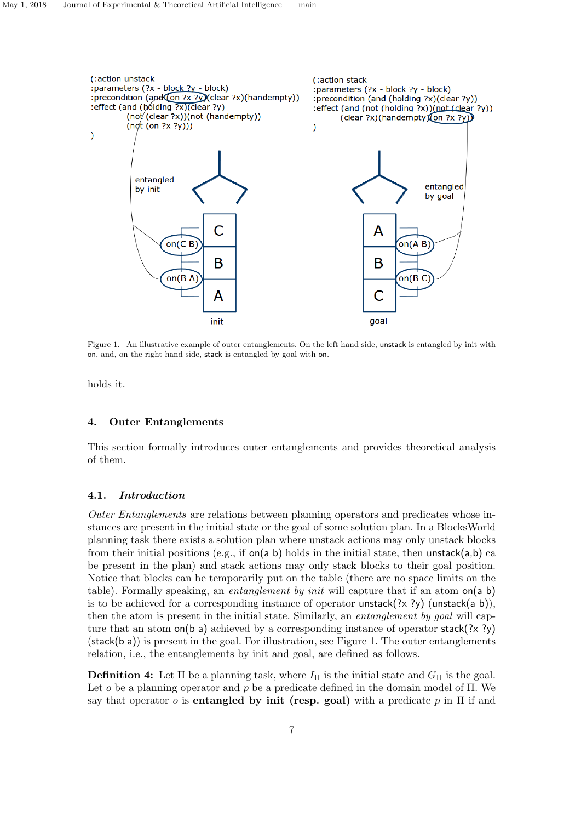

Figure 1. An illustrative example of outer entanglements. On the left hand side, unstack is entangled by init with on, and, on the right hand side, stack is entangled by goal with on.

holds it.

## 4. Outer Entanglements

This section formally introduces outer entanglements and provides theoretical analysis of them.

## 4.1. Introduction

Outer Entanglements are relations between planning operators and predicates whose instances are present in the initial state or the goal of some solution plan. In a BlocksWorld planning task there exists a solution plan where unstack actions may only unstack blocks from their initial positions (e.g., if  $\mathsf{on}(\mathsf{a}\mathsf{b})$  holds in the initial state, then unstack( $\mathsf{a},\mathsf{b}$ ) ca be present in the plan) and stack actions may only stack blocks to their goal position. Notice that blocks can be temporarily put on the table (there are no space limits on the table). Formally speaking, an entanglement by init will capture that if an atom on(a b) is to be achieved for a corresponding instance of operator unstack(?x ?y) (unstack(a b)), then the atom is present in the initial state. Similarly, an entanglement by goal will capture that an atom on(b a) achieved by a corresponding instance of operator stack(?x ?y)  $(\text{stack}(b a))$  is present in the goal. For illustration, see Figure 1. The outer entanglements relation, i.e., the entanglements by init and goal, are defined as follows.

**Definition 4:** Let  $\Pi$  be a planning task, where  $I_{\Pi}$  is the initial state and  $G_{\Pi}$  is the goal. Let  $o$  be a planning operator and  $p$  be a predicate defined in the domain model of  $\Pi$ . We say that operator o is **entangled by init (resp. goal)** with a predicate p in  $\Pi$  if and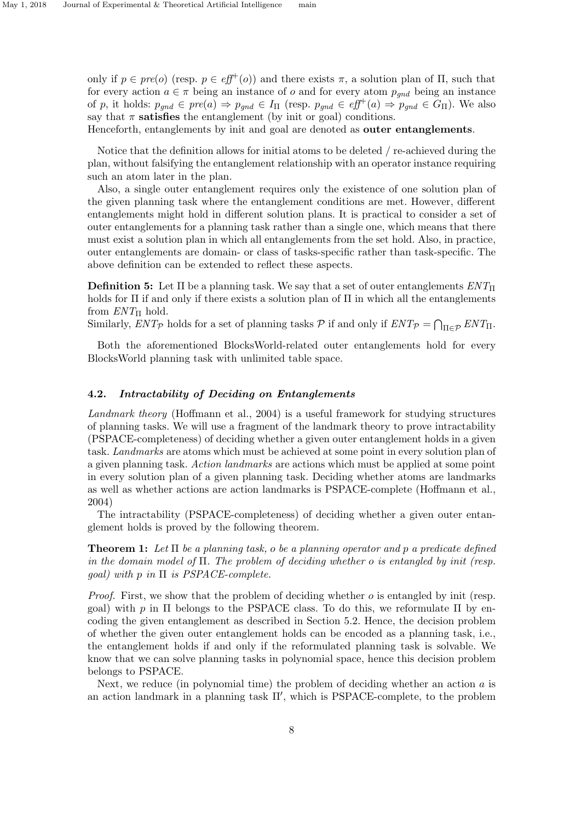only if  $p \in pre(o)$  (resp.  $p \in eff^+(o)$ ) and there exists  $\pi$ , a solution plan of  $\Pi$ , such that for every action  $a \in \pi$  being an instance of o and for every atom  $p_{and}$  being an instance of p, it holds:  $p_{qnd} \in pre(a) \Rightarrow p_{qnd} \in I_{\Pi}$  (resp.  $p_{qnd} \in eff^+(a) \Rightarrow p_{qnd} \in G_{\Pi}$ ). We also say that  $\pi$  satisfies the entanglement (by init or goal) conditions.

Henceforth, entanglements by init and goal are denoted as outer entanglements.

Notice that the definition allows for initial atoms to be deleted / re-achieved during the plan, without falsifying the entanglement relationship with an operator instance requiring such an atom later in the plan.

Also, a single outer entanglement requires only the existence of one solution plan of the given planning task where the entanglement conditions are met. However, different entanglements might hold in different solution plans. It is practical to consider a set of outer entanglements for a planning task rather than a single one, which means that there must exist a solution plan in which all entanglements from the set hold. Also, in practice, outer entanglements are domain- or class of tasks-specific rather than task-specific. The above definition can be extended to reflect these aspects.

**Definition 5:** Let  $\Pi$  be a planning task. We say that a set of outer entanglements  $ENT_{\Pi}$ holds for  $\Pi$  if and only if there exists a solution plan of  $\Pi$  in which all the entanglements from  $\mathit{ENT}_{\Pi}$  hold.

Similarly,  $ENT_{\mathcal{P}}$  holds for a set of planning tasks  $\mathcal{P}$  if and only if  $ENT_{\mathcal{P}} = \bigcap_{\Pi \in \mathcal{P}} ENT_{\Pi}$ .

Both the aforementioned BlocksWorld-related outer entanglements hold for every BlocksWorld planning task with unlimited table space.

### 4.2. Intractability of Deciding on Entanglements

Landmark theory (Hoffmann et al., 2004) is a useful framework for studying structures of planning tasks. We will use a fragment of the landmark theory to prove intractability (PSPACE-completeness) of deciding whether a given outer entanglement holds in a given task. Landmarks are atoms which must be achieved at some point in every solution plan of a given planning task. Action landmarks are actions which must be applied at some point in every solution plan of a given planning task. Deciding whether atoms are landmarks as well as whether actions are action landmarks is PSPACE-complete (Hoffmann et al., 2004)

The intractability (PSPACE-completeness) of deciding whether a given outer entanglement holds is proved by the following theorem.

**Theorem 1:** Let  $\Pi$  be a planning task, o be a planning operator and p a predicate defined in the domain model of  $\Pi$ . The problem of deciding whether o is entangled by init (resp. goal) with p in  $\Pi$  is PSPACE-complete.

*Proof.* First, we show that the problem of deciding whether  $o$  is entangled by init (resp. goal) with  $p$  in  $\Pi$  belongs to the PSPACE class. To do this, we reformulate  $\Pi$  by encoding the given entanglement as described in Section 5.2. Hence, the decision problem of whether the given outer entanglement holds can be encoded as a planning task, i.e., the entanglement holds if and only if the reformulated planning task is solvable. We know that we can solve planning tasks in polynomial space, hence this decision problem belongs to PSPACE.

Next, we reduce (in polynomial time) the problem of deciding whether an action  $a$  is an action landmark in a planning task  $\Pi'$ , which is PSPACE-complete, to the problem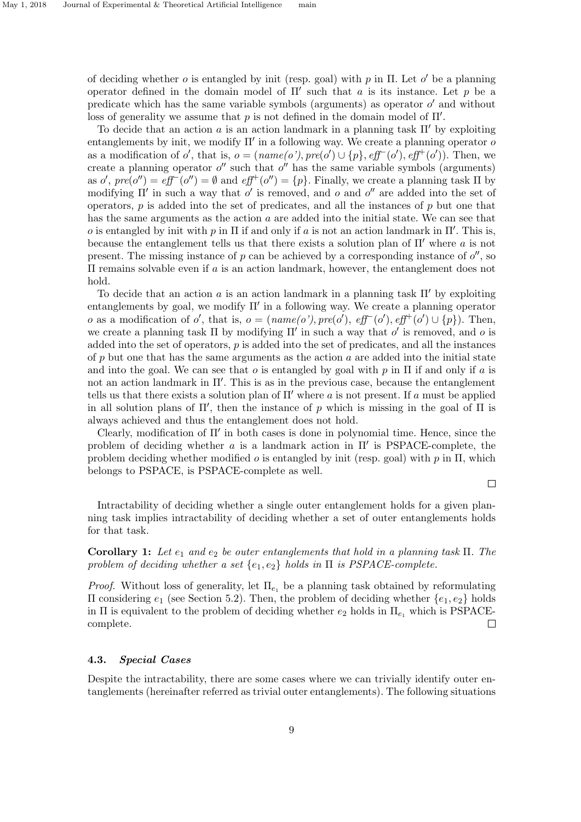of deciding whether  $o$  is entangled by init (resp. goal) with  $p$  in  $\Pi$ . Let  $o'$  be a planning operator defined in the domain model of  $\Pi'$  such that a is its instance. Let p be a predicate which has the same variable symbols (arguments) as operator  $o'$  and without loss of generality we assume that  $p$  is not defined in the domain model of  $\Pi'$ .

To decide that an action a is an action landmark in a planning task  $\Pi'$  by exploiting entanglements by init, we modify  $\Pi'$  in a following way. We create a planning operator  $o$ as a modification of o', that is,  $o = (name(o'), pre(o') \cup \{p\}, eff^-(o'), eff^+(o'))$ . Then, we create a planning operator  $o''$  such that  $o''$  has the same variable symbols (arguments) as  $o'$ ,  $pre(o'') = eff^-(o'') = \emptyset$  and  $eff^+(o'') = \{p\}$ . Finally, we create a planning task  $\Pi$  by modifying  $\Pi'$  in such a way that  $o'$  is removed, and  $o$  and  $o''$  are added into the set of operators,  $p$  is added into the set of predicates, and all the instances of  $p$  but one that has the same arguments as the action  $a$  are added into the initial state. We can see that o is entangled by init with p in Π if and only if a is not an action landmark in  $\Pi'$ . This is, because the entanglement tells us that there exists a solution plan of  $\Pi'$  where a is not present. The missing instance of  $p$  can be achieved by a corresponding instance of  $o''$ , so Π remains solvable even if a is an action landmark, however, the entanglement does not hold.

To decide that an action a is an action landmark in a planning task  $\Pi'$  by exploiting entanglements by goal, we modify  $\Pi'$  in a following way. We create a planning operator o as a modification of o', that is,  $o = (name(o'), pre(o'), eff^-(o'), eff^+(o') \cup \{p\})$ . Then, we create a planning task  $\Pi$  by modifying  $\Pi'$  in such a way that  $o'$  is removed, and  $o$  is added into the set of operators,  $p$  is added into the set of predicates, and all the instances of  $p$  but one that has the same arguments as the action  $a$  are added into the initial state and into the goal. We can see that  $o$  is entangled by goal with  $p$  in  $\Pi$  if and only if  $a$  is not an action landmark in  $\Pi'$ . This is as in the previous case, because the entanglement tells us that there exists a solution plan of  $\Pi'$  where a is not present. If a must be applied in all solution plans of  $\Pi'$ , then the instance of p which is missing in the goal of  $\Pi$  is always achieved and thus the entanglement does not hold.

Clearly, modification of  $\Pi'$  in both cases is done in polynomial time. Hence, since the problem of deciding whether  $a$  is a landmark action in  $\Pi'$  is PSPACE-complete, the problem deciding whether modified  $\sigma$  is entangled by init (resp. goal) with  $p$  in  $\Pi$ , which belongs to PSPACE, is PSPACE-complete as well.

 $\Box$ 

Intractability of deciding whether a single outer entanglement holds for a given planning task implies intractability of deciding whether a set of outer entanglements holds for that task.

Corollary 1: Let  $e_1$  and  $e_2$  be outer entanglements that hold in a planning task  $\Pi$ . The problem of deciding whether a set  $\{e_1, e_2\}$  holds in  $\Pi$  is PSPACE-complete.

*Proof.* Without loss of generality, let  $\Pi_{e_1}$  be a planning task obtained by reformulating II considering  $e_1$  (see Section 5.2). Then, the problem of deciding whether  $\{e_1, e_2\}$  holds in  $\Pi$  is equivalent to the problem of deciding whether  $e_2$  holds in  $\Pi_{e_1}$  which is PSPACEcomplete.  $\Box$ 

## 4.3. Special Cases

Despite the intractability, there are some cases where we can trivially identify outer entanglements (hereinafter referred as trivial outer entanglements). The following situations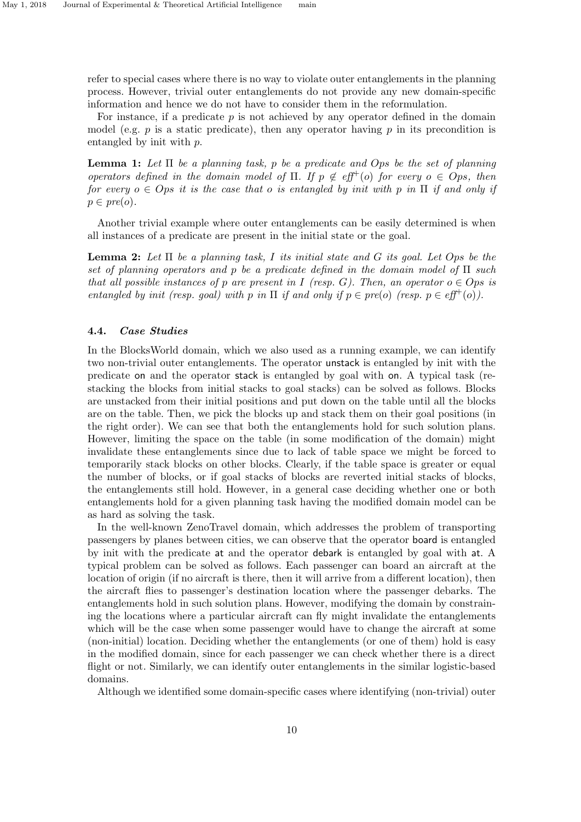refer to special cases where there is no way to violate outer entanglements in the planning process. However, trivial outer entanglements do not provide any new domain-specific information and hence we do not have to consider them in the reformulation.

For instance, if a predicate  $p$  is not achieved by any operator defined in the domain model (e.g.  $p$  is a static predicate), then any operator having  $p$  in its precondition is entangled by init with p.

**Lemma 1:** Let  $\Pi$  be a planning task, p be a predicate and Ops be the set of planning operators defined in the domain model of  $\Pi$ . If  $p \notin \text{eff}^+(o)$  for every  $o \in Ops$ , then for every  $o \in Ops$  it is the case that o is entangled by init with p in  $\Pi$  if and only if  $p \in pre(o).$ 

Another trivial example where outer entanglements can be easily determined is when all instances of a predicate are present in the initial state or the goal.

**Lemma 2:** Let  $\Pi$  be a planning task, I its initial state and G its goal. Let Ops be the set of planning operators and p be a predicate defined in the domain model of  $\Pi$  such that all possible instances of p are present in I (resp. G). Then, an operator  $o \in Ops$  is entangled by init (resp. goal) with p in  $\Pi$  if and only if  $p \in pre(o)$  (resp.  $p \in eff^+(o)$ ).

## 4.4. Case Studies

In the BlocksWorld domain, which we also used as a running example, we can identify two non-trivial outer entanglements. The operator unstack is entangled by init with the predicate on and the operator stack is entangled by goal with on. A typical task (restacking the blocks from initial stacks to goal stacks) can be solved as follows. Blocks are unstacked from their initial positions and put down on the table until all the blocks are on the table. Then, we pick the blocks up and stack them on their goal positions (in the right order). We can see that both the entanglements hold for such solution plans. However, limiting the space on the table (in some modification of the domain) might invalidate these entanglements since due to lack of table space we might be forced to temporarily stack blocks on other blocks. Clearly, if the table space is greater or equal the number of blocks, or if goal stacks of blocks are reverted initial stacks of blocks, the entanglements still hold. However, in a general case deciding whether one or both entanglements hold for a given planning task having the modified domain model can be as hard as solving the task.

In the well-known ZenoTravel domain, which addresses the problem of transporting passengers by planes between cities, we can observe that the operator board is entangled by init with the predicate at and the operator debark is entangled by goal with at. A typical problem can be solved as follows. Each passenger can board an aircraft at the location of origin (if no aircraft is there, then it will arrive from a different location), then the aircraft flies to passenger's destination location where the passenger debarks. The entanglements hold in such solution plans. However, modifying the domain by constraining the locations where a particular aircraft can fly might invalidate the entanglements which will be the case when some passenger would have to change the aircraft at some (non-initial) location. Deciding whether the entanglements (or one of them) hold is easy in the modified domain, since for each passenger we can check whether there is a direct flight or not. Similarly, we can identify outer entanglements in the similar logistic-based domains.

Although we identified some domain-specific cases where identifying (non-trivial) outer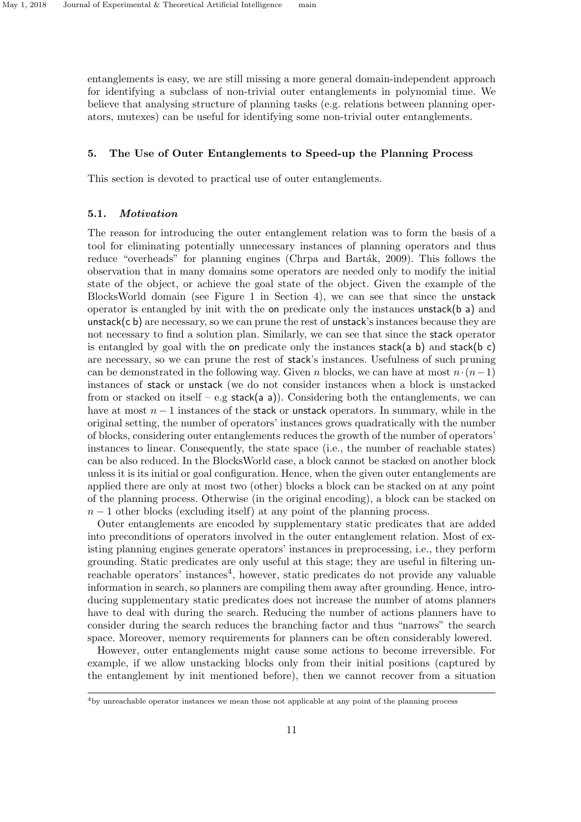entanglements is easy, we are still missing a more general domain-independent approach for identifying a subclass of non-trivial outer entanglements in polynomial time. We believe that analysing structure of planning tasks (e.g. relations between planning operators, mutexes) can be useful for identifying some non-trivial outer entanglements.

#### 5. The Use of Outer Entanglements to Speed-up the Planning Process

This section is devoted to practical use of outer entanglements.

#### 5.1. Motivation

The reason for introducing the outer entanglement relation was to form the basis of a tool for eliminating potentially unnecessary instances of planning operators and thus reduce "overheads" for planning engines (Chrpa and Barták, 2009). This follows the observation that in many domains some operators are needed only to modify the initial state of the object, or achieve the goal state of the object. Given the example of the BlocksWorld domain (see Figure 1 in Section 4), we can see that since the unstack operator is entangled by init with the on predicate only the instances unstack(b a) and unstack( $\epsilon$  b) are necessary, so we can prune the rest of unstack's instances because they are not necessary to find a solution plan. Similarly, we can see that since the stack operator is entangled by goal with the on predicate only the instances stack( $\alpha$ b) and stack( $\beta$ c) are necessary, so we can prune the rest of stack's instances. Usefulness of such pruning can be demonstrated in the following way. Given n blocks, we can have at most  $n \cdot (n-1)$ instances of stack or unstack (we do not consider instances when a block is unstacked from or stacked on itself – e.g stack(a a)). Considering both the entanglements, we can have at most  $n-1$  instances of the stack or unstack operators. In summary, while in the original setting, the number of operators' instances grows quadratically with the number of blocks, considering outer entanglements reduces the growth of the number of operators' instances to linear. Consequently, the state space (i.e., the number of reachable states) can be also reduced. In the BlocksWorld case, a block cannot be stacked on another block unless it is its initial or goal configuration. Hence, when the given outer entanglements are applied there are only at most two (other) blocks a block can be stacked on at any point of the planning process. Otherwise (in the original encoding), a block can be stacked on  $n-1$  other blocks (excluding itself) at any point of the planning process.

Outer entanglements are encoded by supplementary static predicates that are added into preconditions of operators involved in the outer entanglement relation. Most of existing planning engines generate operators' instances in preprocessing, i.e., they perform grounding. Static predicates are only useful at this stage; they are useful in filtering unreachable operators' instances<sup>4</sup>, however, static predicates do not provide any valuable information in search, so planners are compiling them away after grounding. Hence, introducing supplementary static predicates does not increase the number of atoms planners have to deal with during the search. Reducing the number of actions planners have to consider during the search reduces the branching factor and thus "narrows" the search space. Moreover, memory requirements for planners can be often considerably lowered.

However, outer entanglements might cause some actions to become irreversible. For example, if we allow unstacking blocks only from their initial positions (captured by the entanglement by init mentioned before), then we cannot recover from a situation

<sup>&</sup>lt;sup>4</sup>by unreachable operator instances we mean those not applicable at any point of the planning process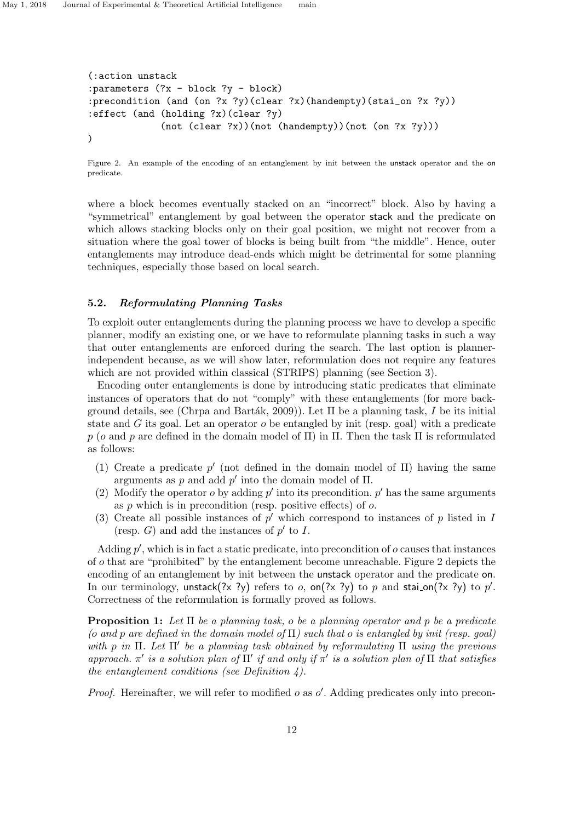```
(:action unstack
:parameters (?x - block ?y - block)
:precondition (and (on ?x ?y)(clear ?x)(handempty)(stai_on ?x ?y))
:effect (and (holding ?x)(clear ?y)
             (not (clear ?x))(not (handempty))(not (on ?x ?y))))
```
Figure 2. An example of the encoding of an entanglement by init between the unstack operator and the on predicate.

where a block becomes eventually stacked on an "incorrect" block. Also by having a "symmetrical" entanglement by goal between the operator stack and the predicate on which allows stacking blocks only on their goal position, we might not recover from a situation where the goal tower of blocks is being built from "the middle". Hence, outer entanglements may introduce dead-ends which might be detrimental for some planning techniques, especially those based on local search.

## 5.2. Reformulating Planning Tasks

To exploit outer entanglements during the planning process we have to develop a specific planner, modify an existing one, or we have to reformulate planning tasks in such a way that outer entanglements are enforced during the search. The last option is plannerindependent because, as we will show later, reformulation does not require any features which are not provided within classical (STRIPS) planning (see Section 3).

Encoding outer entanglements is done by introducing static predicates that eliminate instances of operators that do not "comply" with these entanglements (for more background details, see (Chrpa and Barták, 2009)). Let  $\Pi$  be a planning task, I be its initial state and G its goal. Let an operator  $o$  be entangled by init (resp. goal) with a predicate p (o and p are defined in the domain model of  $\Pi$ ) in  $\Pi$ . Then the task  $\Pi$  is reformulated as follows:

- (1) Create a predicate  $p'$  (not defined in the domain model of  $\Pi$ ) having the same arguments as p and add  $p'$  into the domain model of  $\Pi$ .
- (2) Modify the operator  $o$  by adding  $p'$  into its precondition.  $p'$  has the same arguments as  $p$  which is in precondition (resp. positive effects) of  $o$ .
- (3) Create all possible instances of  $p'$  which correspond to instances of  $p$  listed in  $I$ (resp.  $G$ ) and add the instances of  $p'$  to  $I$ .

Adding  $p'$ , which is in fact a static predicate, into precondition of  $o$  causes that instances of o that are "prohibited" by the entanglement become unreachable. Figure 2 depicts the encoding of an entanglement by init between the unstack operator and the predicate on. In our terminology, unstack(?x ?y) refers to o, on(?x ?y) to p and stai\_on(?x ?y) to p'. Correctness of the reformulation is formally proved as follows.

**Proposition 1:** Let  $\Pi$  be a planning task, o be a planning operator and p be a predicate (o and p are defined in the domain model of  $\Pi$ ) such that o is entangled by init (resp. goal) with p in  $\Pi$ . Let  $\Pi'$  be a planning task obtained by reformulating  $\Pi$  using the previous approach.  $\pi'$  is a solution plan of  $\Pi'$  if and only if  $\pi'$  is a solution plan of  $\Pi$  that satisfies the entanglement conditions (see Definition  $\lambda$ ).

*Proof.* Hereinafter, we will refer to modified  $o$  as  $o'$ . Adding predicates only into precon-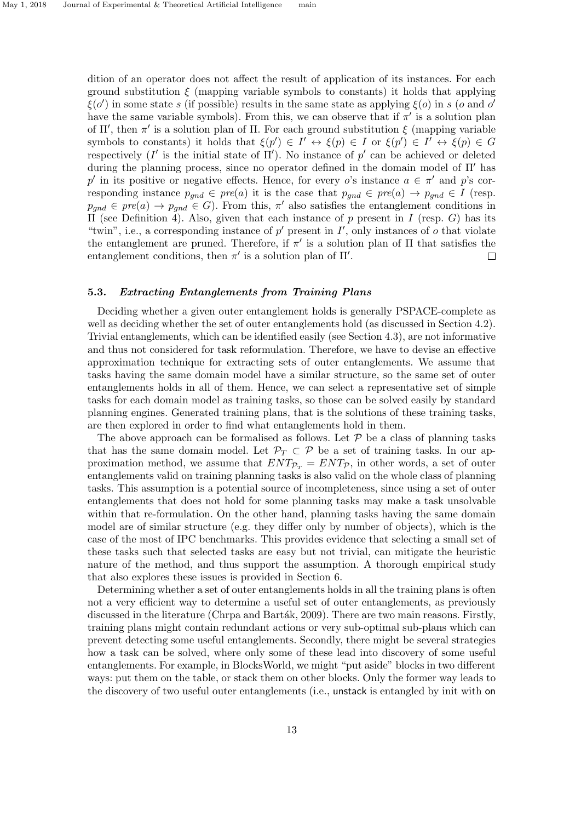dition of an operator does not affect the result of application of its instances. For each ground substitution  $\xi$  (mapping variable symbols to constants) it holds that applying  $\xi$ (o') in some state s (if possible) results in the same state as applying  $\xi$ (o) in s (o and o' have the same variable symbols). From this, we can observe that if  $\pi'$  is a solution plan of  $\Pi'$ , then  $\pi'$  is a solution plan of  $\Pi$ . For each ground substitution  $\xi$  (mapping variable symbols to constants) it holds that  $\xi(p') \in I' \leftrightarrow \xi(p) \in I$  or  $\xi(p') \in I' \leftrightarrow \xi(p) \in G$ respectively (I' is the initial state of  $\Pi'$ ). No instance of  $p'$  can be achieved or deleted during the planning process, since no operator defined in the domain model of  $\Pi'$  has p' in its positive or negative effects. Hence, for every o's instance  $a \in \pi'$  and p's corresponding instance  $p_{gnd} \in pre(a)$  it is the case that  $p_{gnd} \in pre(a) \rightarrow p_{gnd} \in I$  (resp.  $p_{gnd} \in pre(a) \to p_{gnd} \in G$ . From this,  $\pi'$  also satisfies the entanglement conditions in Π (see Definition 4). Also, given that each instance of p present in I (resp. G) has its "twin", i.e., a corresponding instance of  $p'$  present in  $I'$ , only instances of  $o$  that violate the entanglement are pruned. Therefore, if  $\pi'$  is a solution plan of  $\Pi$  that satisfies the entanglement conditions, then  $\pi'$  is a solution plan of  $\Pi'$ .  $\Box$ 

#### 5.3. Extracting Entanglements from Training Plans

Deciding whether a given outer entanglement holds is generally PSPACE-complete as well as deciding whether the set of outer entanglements hold (as discussed in Section 4.2). Trivial entanglements, which can be identified easily (see Section 4.3), are not informative and thus not considered for task reformulation. Therefore, we have to devise an effective approximation technique for extracting sets of outer entanglements. We assume that tasks having the same domain model have a similar structure, so the same set of outer entanglements holds in all of them. Hence, we can select a representative set of simple tasks for each domain model as training tasks, so those can be solved easily by standard planning engines. Generated training plans, that is the solutions of these training tasks, are then explored in order to find what entanglements hold in them.

The above approach can be formalised as follows. Let  $P$  be a class of planning tasks that has the same domain model. Let  $\mathcal{P}_T \subset \mathcal{P}$  be a set of training tasks. In our approximation method, we assume that  $ENT_{\mathcal{P}_T} = ENT_{\mathcal{P}}$ , in other words, a set of outer entanglements valid on training planning tasks is also valid on the whole class of planning tasks. This assumption is a potential source of incompleteness, since using a set of outer entanglements that does not hold for some planning tasks may make a task unsolvable within that re-formulation. On the other hand, planning tasks having the same domain model are of similar structure (e.g. they differ only by number of objects), which is the case of the most of IPC benchmarks. This provides evidence that selecting a small set of these tasks such that selected tasks are easy but not trivial, can mitigate the heuristic nature of the method, and thus support the assumption. A thorough empirical study that also explores these issues is provided in Section 6.

Determining whether a set of outer entanglements holds in all the training plans is often not a very efficient way to determine a useful set of outer entanglements, as previously discussed in the literature (Chrpa and Barták, 2009). There are two main reasons. Firstly, training plans might contain redundant actions or very sub-optimal sub-plans which can prevent detecting some useful entanglements. Secondly, there might be several strategies how a task can be solved, where only some of these lead into discovery of some useful entanglements. For example, in BlocksWorld, we might "put aside" blocks in two different ways: put them on the table, or stack them on other blocks. Only the former way leads to the discovery of two useful outer entanglements (i.e., unstack is entangled by init with on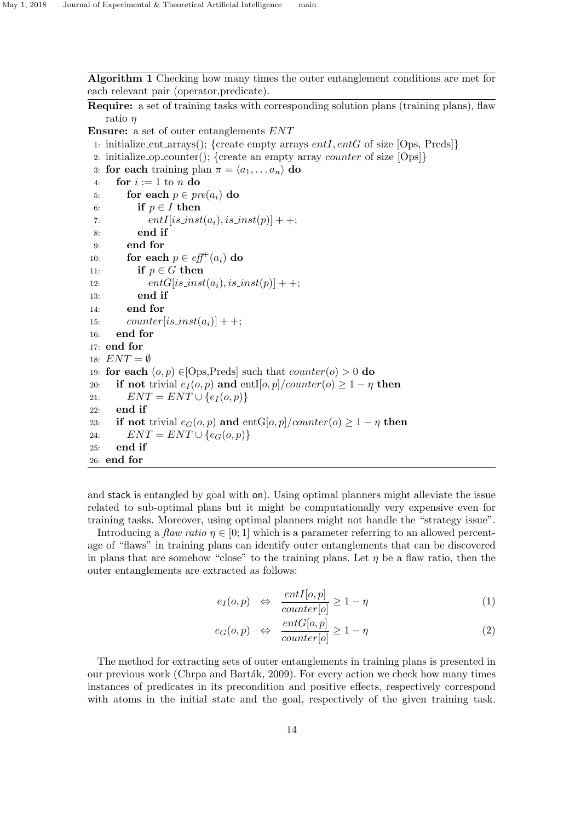Algorithm 1 Checking how many times the outer entanglement conditions are met for each relevant pair (operator,predicate).

Require: a set of training tasks with corresponding solution plans (training plans), flaw ratio  $\eta$ 

Ensure: a set of outer entanglements ENT 1: initialize ent arrays(); {create empty arrays  $entI, entG$  of size [Ops, Preds]} 2: initialize op counter(); {create an empty array *counter* of size  $[Ops]$ } 3: for each training plan  $\pi = \langle a_1, \ldots a_n \rangle$  do 4: for  $i := 1$  to n do 5: for each  $p \in \text{pre}(a_i)$  do 6: if  $p \in I$  then 7:  $entI[is_inst(a_i), is_inst(p)] + +;$ 8: end if 9: end for 10: **for each**  $p \in \text{eff}^+(a_i)$  do 11: if  $p \in G$  then 12:  $entG[iis_inst(a_i), is_inst(p)] + +;$ 13: end if 14: end for 15: counter  $[is\_inst(a_i)] + +$ ; 16: end for 17: end for 18:  $ENT = \emptyset$ 19: for each  $(o, p) \in [Ops, Preds]$  such that  $counter(o) > 0$  do 20: if not trivial  $e_I(o, p)$  and entI[o, p]/counter(o)  $\geq 1 - \eta$  then 21:  $ENT = ENT \cup \{e_I(o, p)\}$ 22: end if 23: if not trivial  $e_G(o, p)$  and ent $G(o, p)/counter(o) \geq 1 - \eta$  then 24:  $ENT = ENT \cup \{e_G(o, p)\}$ 25: end if 26: end for

and stack is entangled by goal with on). Using optimal planners might alleviate the issue related to sub-optimal plans but it might be computationally very expensive even for training tasks. Moreover, using optimal planners might not handle the "strategy issue".

Introducing a *flaw ratio*  $\eta \in [0, 1]$  which is a parameter referring to an allowed percentage of "flaws" in training plans can identify outer entanglements that can be discovered in plans that are somehow "close" to the training plans. Let  $\eta$  be a flaw ratio, then the outer entanglements are extracted as follows:

$$
e_I(o, p) \Leftrightarrow \frac{entI[o, p]}{counter[o]} \ge 1 - \eta \tag{1}
$$

$$
e_G(o, p) \Leftrightarrow \frac{entG[o, p]}{counter[o]} \ge 1 - \eta \tag{2}
$$

The method for extracting sets of outer entanglements in training plans is presented in our previous work (Chrpa and Barták, 2009). For every action we check how many times instances of predicates in its precondition and positive effects, respectively correspond with atoms in the initial state and the goal, respectively of the given training task.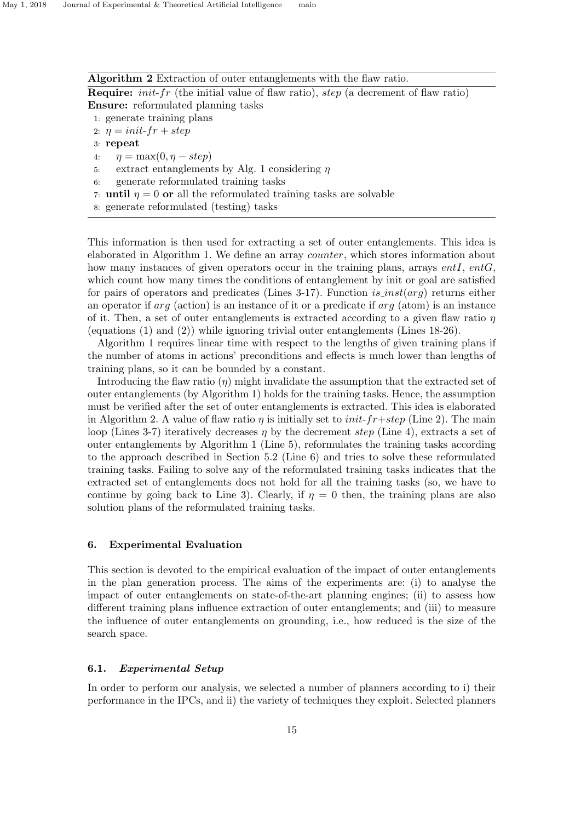Algorithm 2 Extraction of outer entanglements with the flaw ratio. **Require:**  $init\text{-}fr$  (the initial value of flaw ratio), step (a decrement of flaw ratio) Ensure: reformulated planning tasks 1: generate training plans 2:  $\eta = init-fr + step$ 3: repeat 4:  $\eta = \max(0, \eta - step)$ 5: extract entanglements by Alg. 1 considering  $\eta$ 6: generate reformulated training tasks

7: **until**  $\eta = 0$  or all the reformulated training tasks are solvable

8: generate reformulated (testing) tasks

This information is then used for extracting a set of outer entanglements. This idea is elaborated in Algorithm 1. We define an array counter, which stores information about how many instances of given operators occur in the training plans, arrays entI, ent $G$ , which count how many times the conditions of entanglement by init or goal are satisfied for pairs of operators and predicates (Lines 3-17). Function  $is_inst(arg)$  returns either an operator if  $arg$  (action) is an instance of it or a predicate if  $arg$  (atom) is an instance of it. Then, a set of outer entanglements is extracted according to a given flaw ratio  $\eta$ (equations (1) and (2)) while ignoring trivial outer entanglements (Lines 18-26).

Algorithm 1 requires linear time with respect to the lengths of given training plans if the number of atoms in actions' preconditions and effects is much lower than lengths of training plans, so it can be bounded by a constant.

Introducing the flaw ratio  $(\eta)$  might invalidate the assumption that the extracted set of outer entanglements (by Algorithm 1) holds for the training tasks. Hence, the assumption must be verified after the set of outer entanglements is extracted. This idea is elaborated in Algorithm 2. A value of flaw ratio  $\eta$  is initially set to *init-fr+step* (Line 2). The main loop (Lines 3-7) iteratively decreases  $\eta$  by the decrement step (Line 4), extracts a set of outer entanglements by Algorithm 1 (Line 5), reformulates the training tasks according to the approach described in Section 5.2 (Line 6) and tries to solve these reformulated training tasks. Failing to solve any of the reformulated training tasks indicates that the extracted set of entanglements does not hold for all the training tasks (so, we have to continue by going back to Line 3). Clearly, if  $\eta = 0$  then, the training plans are also solution plans of the reformulated training tasks.

## 6. Experimental Evaluation

This section is devoted to the empirical evaluation of the impact of outer entanglements in the plan generation process. The aims of the experiments are: (i) to analyse the impact of outer entanglements on state-of-the-art planning engines; (ii) to assess how different training plans influence extraction of outer entanglements; and (iii) to measure the influence of outer entanglements on grounding, i.e., how reduced is the size of the search space.

## 6.1. Experimental Setup

In order to perform our analysis, we selected a number of planners according to i) their performance in the IPCs, and ii) the variety of techniques they exploit. Selected planners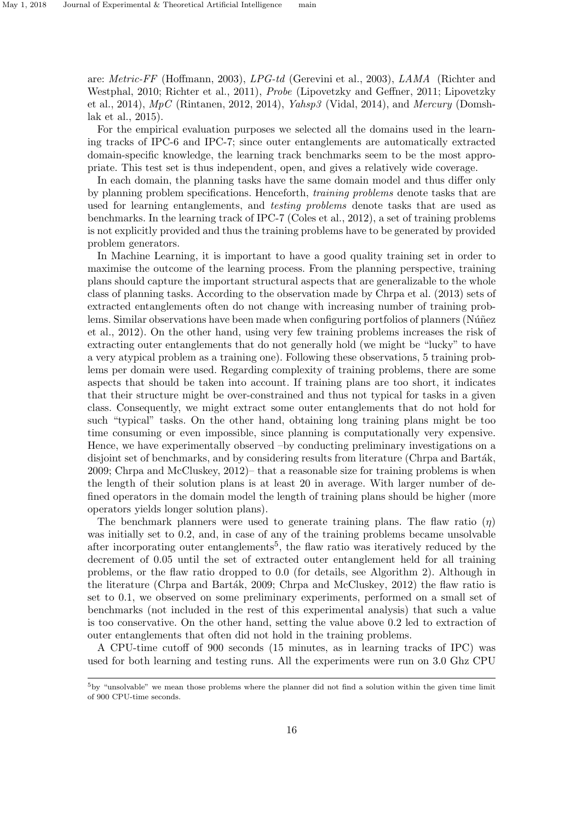For the empirical evaluation purposes we selected all the domains used in the learning tracks of IPC-6 and IPC-7; since outer entanglements are automatically extracted domain-specific knowledge, the learning track benchmarks seem to be the most appropriate. This test set is thus independent, open, and gives a relatively wide coverage.

In each domain, the planning tasks have the same domain model and thus differ only by planning problem specifications. Henceforth, training problems denote tasks that are used for learning entanglements, and testing problems denote tasks that are used as benchmarks. In the learning track of IPC-7 (Coles et al., 2012), a set of training problems is not explicitly provided and thus the training problems have to be generated by provided problem generators.

In Machine Learning, it is important to have a good quality training set in order to maximise the outcome of the learning process. From the planning perspective, training plans should capture the important structural aspects that are generalizable to the whole class of planning tasks. According to the observation made by Chrpa et al. (2013) sets of extracted entanglements often do not change with increasing number of training problems. Similar observations have been made when configuring portfolios of planners (Núñez et al., 2012). On the other hand, using very few training problems increases the risk of extracting outer entanglements that do not generally hold (we might be "lucky" to have a very atypical problem as a training one). Following these observations, 5 training problems per domain were used. Regarding complexity of training problems, there are some aspects that should be taken into account. If training plans are too short, it indicates that their structure might be over-constrained and thus not typical for tasks in a given class. Consequently, we might extract some outer entanglements that do not hold for such "typical" tasks. On the other hand, obtaining long training plans might be too time consuming or even impossible, since planning is computationally very expensive. Hence, we have experimentally observed –by conducting preliminary investigations on a disjoint set of benchmarks, and by considering results from literature (Chrpa and Barták, 2009; Chrpa and McCluskey, 2012)– that a reasonable size for training problems is when the length of their solution plans is at least 20 in average. With larger number of defined operators in the domain model the length of training plans should be higher (more operators yields longer solution plans).

The benchmark planners were used to generate training plans. The flaw ratio  $(\eta)$ was initially set to 0.2, and, in case of any of the training problems became unsolvable after incorporating outer entanglements<sup>5</sup>, the flaw ratio was iteratively reduced by the decrement of 0.05 until the set of extracted outer entanglement held for all training problems, or the flaw ratio dropped to 0.0 (for details, see Algorithm 2). Although in the literature (Chrpa and Barták, 2009; Chrpa and McCluskey, 2012) the flaw ratio is set to 0.1, we observed on some preliminary experiments, performed on a small set of benchmarks (not included in the rest of this experimental analysis) that such a value is too conservative. On the other hand, setting the value above 0.2 led to extraction of outer entanglements that often did not hold in the training problems.

A CPU-time cutoff of 900 seconds (15 minutes, as in learning tracks of IPC) was used for both learning and testing runs. All the experiments were run on 3.0 Ghz CPU

<sup>5</sup>by "unsolvable" we mean those problems where the planner did not find a solution within the given time limit of 900 CPU-time seconds.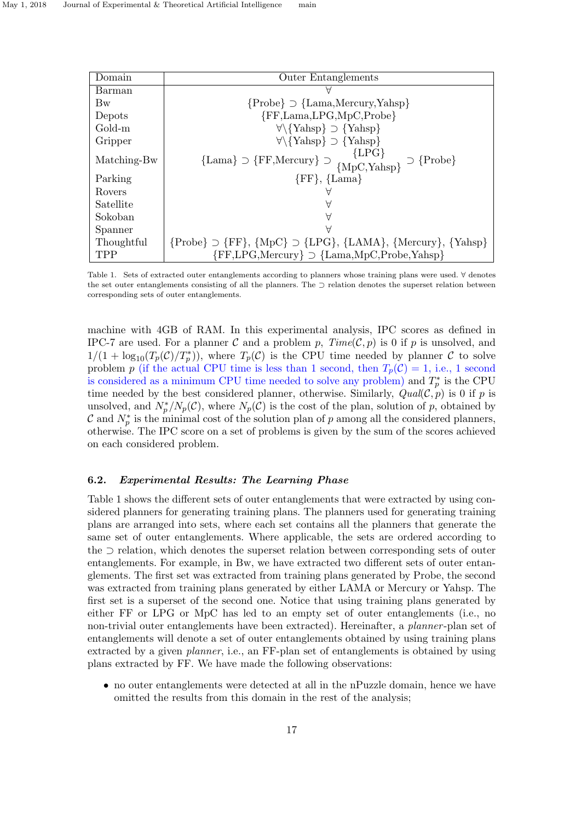| Domain        | <b>Outer Entanglements</b>                                                                                                     |
|---------------|--------------------------------------------------------------------------------------------------------------------------------|
| Barman        |                                                                                                                                |
| Bw            | ${Probe} \supset {Lama, Mercury, Yahsp}$                                                                                       |
| Depots        | ${FF, Lama, LPG, MpC, Probe}$                                                                                                  |
| Gold-m        | $\forall \{\text{Yahsp}\}\supset{\text{Yahsp}}$                                                                                |
| Gripper       | $\forall \{\text{Yahsp}\}\supset{\text{Yahsp}}$                                                                                |
| Matching-Bw   | $\{{\rm Lama}\}\supset\{{\rm FF}, {\rm Mercury}\}\supset\frac{\{{\rm LPG}\}}{\{{\rm MpC},{\rm Yahsp}\}}\supset\{{\rm Probe}\}$ |
| Parking       | ${FF}, {Lama}$                                                                                                                 |
| <b>Rovers</b> |                                                                                                                                |
| Satellite     | Α                                                                                                                              |
| Sokoban       | ∀                                                                                                                              |
| Spanner       | А                                                                                                                              |
| Thoughtful    | $\{Probe\} \supset \{FF\}, \{MpC\} \supset \{LPG\}, \{LAMA\}, \{Mercury\}, \{Yahsp\}$                                          |
| TPP           | ${FF, LPG, Mercury} \supset {Lama, MpC, Probe, Yahsp}$                                                                         |

Table 1. Sets of extracted outer entanglements according to planners whose training plans were used. ∀ denotes the set outer entanglements consisting of all the planners. The ⊃ relation denotes the superset relation between corresponding sets of outer entanglements.

machine with 4GB of RAM. In this experimental analysis, IPC scores as defined in IPC-7 are used. For a planner C and a problem p,  $Time(C, p)$  is 0 if p is unsolved, and  $1/(1 + \log_{10}(T_p(\mathcal{C})/T_p^*))$ , where  $T_p(\mathcal{C})$  is the CPU time needed by planner  $\mathcal C$  to solve problem p (if the actual CPU time is less than 1 second, then  $T_p(\mathcal{C}) = 1$ , i.e., 1 second is considered as a minimum CPU time needed to solve any problem) and  $T_p^*$  is the CPU time needed by the best considered planner, otherwise. Similarly,  $quad(\mathcal{C}, p)$  is 0 if p is unsolved, and  $N_p^*/N_p(\mathcal{C})$ , where  $N_p(\mathcal{C})$  is the cost of the plan, solution of p, obtained by C and  $N_p^*$  is the minimal cost of the solution plan of p among all the considered planners, otherwise. The IPC score on a set of problems is given by the sum of the scores achieved on each considered problem.

## 6.2. Experimental Results: The Learning Phase

Table 1 shows the different sets of outer entanglements that were extracted by using considered planners for generating training plans. The planners used for generating training plans are arranged into sets, where each set contains all the planners that generate the same set of outer entanglements. Where applicable, the sets are ordered according to the ⊃ relation, which denotes the superset relation between corresponding sets of outer entanglements. For example, in Bw, we have extracted two different sets of outer entanglements. The first set was extracted from training plans generated by Probe, the second was extracted from training plans generated by either LAMA or Mercury or Yahsp. The first set is a superset of the second one. Notice that using training plans generated by either FF or LPG or MpC has led to an empty set of outer entanglements (i.e., no non-trivial outer entanglements have been extracted). Hereinafter, a planner -plan set of entanglements will denote a set of outer entanglements obtained by using training plans extracted by a given *planner*, i.e., an FF-plan set of entanglements is obtained by using plans extracted by FF. We have made the following observations:

• no outer entanglements were detected at all in the nPuzzle domain, hence we have omitted the results from this domain in the rest of the analysis;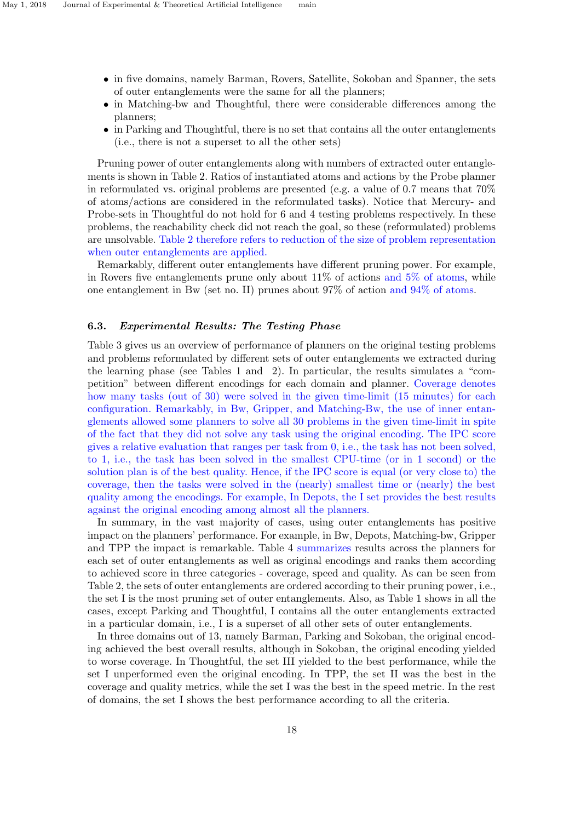- in Matching-bw and Thoughtful, there were considerable differences among the planners;
- in Parking and Thoughtful, there is no set that contains all the outer entanglements (i.e., there is not a superset to all the other sets)

Pruning power of outer entanglements along with numbers of extracted outer entanglements is shown in Table 2. Ratios of instantiated atoms and actions by the Probe planner in reformulated vs. original problems are presented (e.g. a value of 0.7 means that  $70\%$ of atoms/actions are considered in the reformulated tasks). Notice that Mercury- and Probe-sets in Thoughtful do not hold for 6 and 4 testing problems respectively. In these problems, the reachability check did not reach the goal, so these (reformulated) problems are unsolvable. Table 2 therefore refers to reduction of the size of problem representation when outer entanglements are applied.

Remarkably, different outer entanglements have different pruning power. For example, in Rovers five entanglements prune only about  $11\%$  of actions and  $5\%$  of atoms, while one entanglement in Bw (set no. II) prunes about 97% of action and 94% of atoms.

#### 6.3. Experimental Results: The Testing Phase

Table 3 gives us an overview of performance of planners on the original testing problems and problems reformulated by different sets of outer entanglements we extracted during the learning phase (see Tables 1 and 2). In particular, the results simulates a "competition" between different encodings for each domain and planner. Coverage denotes how many tasks (out of 30) were solved in the given time-limit (15 minutes) for each configuration. Remarkably, in Bw, Gripper, and Matching-Bw, the use of inner entanglements allowed some planners to solve all 30 problems in the given time-limit in spite of the fact that they did not solve any task using the original encoding. The IPC score gives a relative evaluation that ranges per task from 0, i.e., the task has not been solved, to 1, i.e., the task has been solved in the smallest CPU-time (or in 1 second) or the solution plan is of the best quality. Hence, if the IPC score is equal (or very close to) the coverage, then the tasks were solved in the (nearly) smallest time or (nearly) the best quality among the encodings. For example, In Depots, the I set provides the best results against the original encoding among almost all the planners.

In summary, in the vast majority of cases, using outer entanglements has positive impact on the planners' performance. For example, in Bw, Depots, Matching-bw, Gripper and TPP the impact is remarkable. Table 4 summarizes results across the planners for each set of outer entanglements as well as original encodings and ranks them according to achieved score in three categories - coverage, speed and quality. As can be seen from Table 2, the sets of outer entanglements are ordered according to their pruning power, i.e., the set I is the most pruning set of outer entanglements. Also, as Table 1 shows in all the cases, except Parking and Thoughtful, I contains all the outer entanglements extracted in a particular domain, i.e., I is a superset of all other sets of outer entanglements.

In three domains out of 13, namely Barman, Parking and Sokoban, the original encoding achieved the best overall results, although in Sokoban, the original encoding yielded to worse coverage. In Thoughtful, the set III yielded to the best performance, while the set I unperformed even the original encoding. In TPP, the set II was the best in the coverage and quality metrics, while the set I was the best in the speed metric. In the rest of domains, the set I shows the best performance according to all the criteria.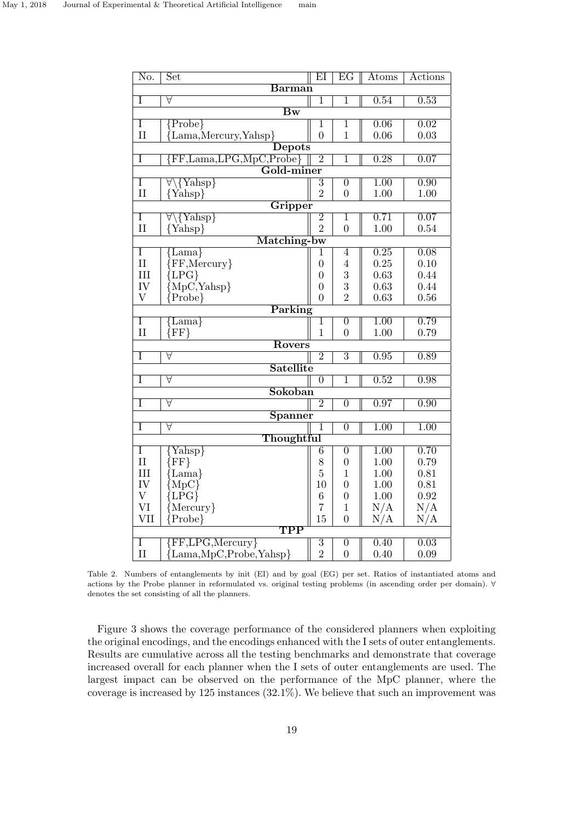| No.                        | Set                                     | ΕI               | EG               | Atoms             | Actions           |  |  |  |  |  |  |  |  |
|----------------------------|-----------------------------------------|------------------|------------------|-------------------|-------------------|--|--|--|--|--|--|--|--|
| <b>Barman</b>              |                                         |                  |                  |                   |                   |  |  |  |  |  |  |  |  |
| Ī                          | $\overline{\forall}$                    | $\overline{1}$   | $\overline{1}$   | 0.54              | 0.53              |  |  |  |  |  |  |  |  |
| $\overline{\mathrm{Bw}}$   |                                         |                  |                  |                   |                   |  |  |  |  |  |  |  |  |
| Ī                          | $\{Probe\}$                             | 1                | $\mathbf{1}$     | 0.06              | $\overline{0.02}$ |  |  |  |  |  |  |  |  |
| $\mathbf{II}$              | {Lama, Mercury, Yahsp}                  | $\overline{0}$   | $\overline{1}$   | 0.06              | 0.03              |  |  |  |  |  |  |  |  |
| $\overline{\text{Depots}}$ |                                         |                  |                  |                   |                   |  |  |  |  |  |  |  |  |
| Ι                          | ${FF, Lama, LPG, MpC, Prob}$            | $\overline{2}$   | $\overline{1}$   | 0.28              | 0.07              |  |  |  |  |  |  |  |  |
|                            | Gold-miner                              |                  |                  |                   |                   |  |  |  |  |  |  |  |  |
| Ī                          | $\forall\langle\{\text{Yahsp}\}\rangle$ | $\overline{3}$   | $\overline{0}$   | 1.00              | $\overline{0.90}$ |  |  |  |  |  |  |  |  |
| II                         | ${Yahsp}$                               | $\overline{2}$   | $\overline{0}$   | 1.00              | 1.00              |  |  |  |  |  |  |  |  |
| Gripper                    |                                         |                  |                  |                   |                   |  |  |  |  |  |  |  |  |
| I                          | $\forall \langle \{Yahsp\}$             | $\overline{2}$   | $\overline{1}$   | 0.71              | 0.07              |  |  |  |  |  |  |  |  |
| II                         | ${Yahsp}$                               | $\overline{2}$   | $\overline{0}$   | 1.00              | 0.54              |  |  |  |  |  |  |  |  |
|                            | Matching-bw                             |                  |                  |                   |                   |  |  |  |  |  |  |  |  |
| T                          | $\{\mathrm{Lama}\}\$                    | 1                | 4                | 0.25              | 0.08              |  |  |  |  |  |  |  |  |
| II                         | ${FF, Mercury}$                         | $\boldsymbol{0}$ | $\overline{4}$   | 0.25              | 0.10              |  |  |  |  |  |  |  |  |
| III                        | LPG                                     | $\overline{0}$   | 3                | 0.63              | 0.44              |  |  |  |  |  |  |  |  |
| IV                         | MpC, Yahsp                              | $\overline{0}$   | 3                | 0.63              | 0.44              |  |  |  |  |  |  |  |  |
| $\rm V$                    | Probe}                                  | $\overline{0}$   | $\overline{2}$   | 0.63              | 0.56              |  |  |  |  |  |  |  |  |
|                            | Parking                                 |                  |                  |                   |                   |  |  |  |  |  |  |  |  |
| Ī                          | $\{Lama\}$                              | $\overline{1}$   | $\overline{0}$   | $\overline{1.00}$ | 0.79              |  |  |  |  |  |  |  |  |
| $\mathbf{I}$               | $\{ {\rm FF}\}$                         | $\overline{1}$   | $\overline{0}$   | 1.00              | 0.79              |  |  |  |  |  |  |  |  |
|                            | <b>Rovers</b>                           |                  |                  |                   |                   |  |  |  |  |  |  |  |  |
| T                          | Α                                       | $\overline{2}$   | $\overline{3}$   | 0.95              | 0.89              |  |  |  |  |  |  |  |  |
|                            | Satellite                               |                  |                  |                   |                   |  |  |  |  |  |  |  |  |
| Ī                          | Α                                       | 0                | $\overline{1}$   | 0.52              | 0.98              |  |  |  |  |  |  |  |  |
|                            | Sokoban                                 |                  |                  |                   |                   |  |  |  |  |  |  |  |  |
| Ī                          | $\overline{\forall}$                    | $\overline{2}$   | $\overline{0}$   | 0.97              | 0.90              |  |  |  |  |  |  |  |  |
|                            | Spanner                                 |                  |                  |                   |                   |  |  |  |  |  |  |  |  |
| T                          | $\overline{\forall}$                    | $\overline{1}$   | $\overline{0}$   | $\overline{1.00}$ | $\overline{1.00}$ |  |  |  |  |  |  |  |  |
|                            | Thoughtful                              |                  |                  |                   |                   |  |  |  |  |  |  |  |  |
| T                          | $Yahsp\}$                               | 6                | $\overline{0}$   | $\overline{1.00}$ | 0.70              |  |  |  |  |  |  |  |  |
| $\mathbf{I}$               | $\{\mathrm{FF}\}$                       | 8                | $\overline{0}$   | 1.00              | 0.79              |  |  |  |  |  |  |  |  |
| III                        | $\{Lama\}$                              | $\overline{5}$   | $\mathbf{1}$     | 1.00              | 0.81              |  |  |  |  |  |  |  |  |
| IV                         | $\{ \rm MpC \}$                         | 10               | $\overline{0}$   | 1.00              | 0.81              |  |  |  |  |  |  |  |  |
| V                          | $\{LPG\}$                               | 6                | $\overline{0}$   | 1.00              | 0.92              |  |  |  |  |  |  |  |  |
| VI                         | ${Mercury}$                             | $\overline{7}$   | $\mathbf{1}$     | N/A               | N/A               |  |  |  |  |  |  |  |  |
| VII                        | $\{Probe\}$                             | 15               | $\overline{0}$   | N/A               | N/A               |  |  |  |  |  |  |  |  |
| $\overline{\text{TPP}}$    |                                         |                  |                  |                   |                   |  |  |  |  |  |  |  |  |
| Ī                          | ${FF, LPG, Mercury}$                    | $\boldsymbol{3}$ | $\boldsymbol{0}$ | 0.40              | 0.03              |  |  |  |  |  |  |  |  |
| $\prod$                    | ${Lama, MpC, Probe, Yahsp}$             | $\overline{2}$   | $\overline{0}$   | 0.40              | 0.09              |  |  |  |  |  |  |  |  |

Table 2. Numbers of entanglements by init (EI) and by goal (EG) per set. Ratios of instantiated atoms and actions by the Probe planner in reformulated vs. original testing problems (in ascending order per domain). ∀ denotes the set consisting of all the planners.

Figure 3 shows the coverage performance of the considered planners when exploiting the original encodings, and the encodings enhanced with the I sets of outer entanglements. Results are cumulative across all the testing benchmarks and demonstrate that coverage increased overall for each planner when the I sets of outer entanglements are used. The largest impact can be observed on the performance of the MpC planner, where the coverage is increased by 125 instances (32.1%). We believe that such an improvement was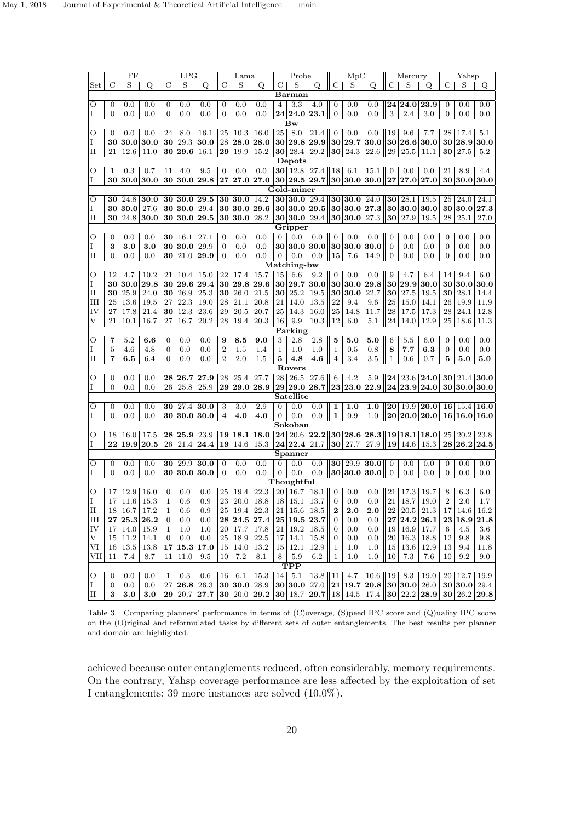|          |                                                                                                                                                                          | $_{\rm FF}$             |              |                  | LPG                     |                                |                 | Lama                                     | Probe        |                       | $\rm Mpc$               |                         | Mercury           |                         |              | Yahsp           |                         |                                              |                       |                         |             |
|----------|--------------------------------------------------------------------------------------------------------------------------------------------------------------------------|-------------------------|--------------|------------------|-------------------------|--------------------------------|-----------------|------------------------------------------|--------------|-----------------------|-------------------------|-------------------------|-------------------|-------------------------|--------------|-----------------|-------------------------|----------------------------------------------|-----------------------|-------------------------|-------------|
| Set      | С                                                                                                                                                                        | $\overline{\mathrm{s}}$ | Q            | С                | $\overline{\mathrm{s}}$ | Q                              | С               | $\overline{\mathrm{s}}$                  | Q            | С                     | $\overline{\mathrm{s}}$ | $\overline{\mathrm{Q}}$ | С                 | $\overline{\mathrm{s}}$ | Q            | С               | $\overline{\mathrm{s}}$ | $\overline{\mathrm{Q}}$                      | С                     | $\overline{\mathrm{s}}$ | Q           |
|          |                                                                                                                                                                          |                         |              |                  |                         |                                |                 |                                          |              |                       | Barman                  |                         |                   |                         |              |                 |                         |                                              |                       |                         |             |
| О        | $\mathbf{0}$                                                                                                                                                             | 0.0                     | 0.0          | 0                | 0.0                     | 0.0                            | $\mathbf{0}$    | 0.0                                      | 0.0          | $\overline{4}$        | 3.3                     | 4.0                     | $\mathbf{0}$      | 0.0                     | 0.0          |                 | 24 24.0                 | 23.9                                         | $\mathbf{0}$          | 0.0                     | 0.0         |
| Ι        | $\boldsymbol{0}$                                                                                                                                                         | 0.0                     | 0.0          | $\boldsymbol{0}$ | 0.0                     | 0.0                            | $\overline{0}$  | 0.0                                      | 0.0          |                       | 24 24.0 23.1            |                         | $\overline{0}$    | 0.0                     | 0.0          | 3               | 2.4                     | 3.0                                          | $\boldsymbol{0}$      | 0.0                     | 0.0         |
|          | $\mathbf{B}\mathbf{w}$                                                                                                                                                   |                         |              |                  |                         |                                |                 |                                          |              |                       |                         |                         |                   |                         |              |                 |                         |                                              |                       |                         |             |
| О        | $\theta$                                                                                                                                                                 | 0.0                     | 0.0          | 24               | 8.0                     | 16.1                           | 25              | 10.3                                     | 16.0         | $25\,$                | 8.0                     | 21.4                    | $\mathbf{0}$      | 0.0                     | 0.0          | 19              | 9.6                     | 7.7                                          | 28                    | 17.4                    | 5.1         |
| Ι<br>П   | 30<br>21                                                                                                                                                                 | 30.0<br>12.6            | 30.0<br>11.0 | 30               | 29.3                    | 30.0                           | 28<br>29        | 28.0<br>19.9                             | 28.0<br>15.2 | 30<br>30 <sup>1</sup> | 29.8<br>28.4            | 29.9<br>29.2            | 30<br>30          | 29.7<br>24.3            | 30.0<br>22.6 | 30<br>29        | 26.6<br>25.5            | 30.0                                         | 30<br>30              | 28.9<br>27.5            | 30.0<br>5.2 |
|          |                                                                                                                                                                          |                         |              |                  | 30 29.6 16.1            |                                |                 |                                          |              |                       | Depots                  |                         |                   |                         |              |                 |                         | 11.1                                         |                       |                         |             |
| О        | 1                                                                                                                                                                        | 0.3                     | 0.7          | 11               | 4.0                     | 9.5                            | $\mathbf{0}$    | 0.0                                      | 0.0          | 30                    | 12.8                    | 27.4                    | 18                | 6.1                     | 15.1         | $\mathbf{0}$    | 0.0                     | 0.0                                          | 21                    | 8.9                     | 4.4         |
| Ι        |                                                                                                                                                                          |                         | 30 30.0 30.0 | 30               |                         | $\vert 30.0 \vert 29.8$        | 27              | $\bm{ }27.0\bm{ }27.0$                   |              | 30                    | 29.5 29.7               |                         |                   | 30 30.0 30.0            |              | 27              |                         | $\left 27.0\right 27.0$                      | 30                    | 30.0   30.0             |             |
|          |                                                                                                                                                                          |                         |              |                  |                         |                                |                 |                                          |              |                       |                         |                         |                   |                         |              |                 |                         |                                              |                       |                         |             |
|          | Gold-miner<br>30.0<br> 30.0 29.5<br>30.0<br>14.2<br>30<br>30.0<br>29.4<br>30 30.0 24.0<br>$\mid$ 28.1<br>19.5<br>24.1<br>О<br>30<br>24.8<br>30<br>30<br>30<br>25<br>24.0 |                         |              |                  |                         |                                |                 |                                          |              |                       |                         |                         |                   |                         |              |                 |                         |                                              |                       |                         |             |
| I        | 30                                                                                                                                                                       | 30.0                    | 27.6         | 30               | 30.0                    | 29.4                           | 30              | $ \hspace{.06cm}30.0 \hspace{.02cm}29.6$ |              | 30                    | 30.0 29.5               |                         |                   | 30 30.0 27.3            |              |                 | 30 30.0                 | 30.0                                         | 30                    | 30.0                    | 27.3        |
| П        | 30                                                                                                                                                                       | 24.8                    | 30.0         | 30               | $\vert 30.0 \vert 29.5$ |                                | 30              | $ \hspace{0.1cm}30.0 $                   | 28.2         |                       | 30 30.0                 | 29.4                    |                   | 30 30.0                 | 27.3         | 30              | 27.9                    | 19.5                                         | 28                    | 25.1                    | 27.0        |
|          |                                                                                                                                                                          |                         |              |                  |                         |                                |                 |                                          |              |                       | Gripper                 |                         |                   |                         |              |                 |                         |                                              |                       |                         |             |
| О        | $\boldsymbol{0}$                                                                                                                                                         | 0.0                     | 0.0          | 30               | 16.1                    | 27.1                           | $\mathbf{0}$    | 0.0                                      | 0.0          | $\overline{0}$        | 0.0                     | 0.0                     | $\mathbf{0}$      | 0.0                     | 0.0          | $\mathbf{0}$    | 0.0                     | 0.0                                          | 0                     | 0.0                     | 0.0         |
| Ι        | $\bf{3}$                                                                                                                                                                 | 3.0                     | 3.0          | 30               | 30.0                    | 29.9                           | $\overline{0}$  | 0.0                                      | 0.0          | 30                    | 30.0 30.0               |                         | 30                | 30.0                    | 30.0         | $\mathbf{0}$    | 0.0                     | 0.0                                          | 0                     | 0.0                     | 0.0         |
| П        | $\boldsymbol{0}$                                                                                                                                                         | 0.0                     | 0.0          | 30               |                         | 21.0 29.9                      | $\overline{0}$  | 0.0                                      | 0.0          | $\theta$              | 0.0                     | 0.0                     | 15                | 7.6                     | 14.9         | $\mathbf{0}$    | 0.0                     | 0.0                                          | $\boldsymbol{0}$      | 0.0                     | 0.0         |
|          |                                                                                                                                                                          |                         |              |                  |                         |                                |                 |                                          |              |                       | Matching-bw             |                         |                   |                         |              |                 |                         |                                              |                       |                         |             |
| О        | 12                                                                                                                                                                       | 4.7                     | 10.2         | 21               | 10.4                    | 15.0                           | 22              | 17.4                                     | 15.7         | 15                    | 6.6                     | 9.2                     | $\mathbf{0}$      | 0.0                     | 0.0          | 9               | 4.7                     | 6.4                                          | 14                    | 9.4                     | 6.0         |
| I        | 30                                                                                                                                                                       | 30.0                    | 29.8         | 30               | $\left 29.6\right $     | 29.4                           | 30              | 29.8 29.6                                |              | 30                    | 29.7                    | 30.0                    | 30                | 30.0                    | 29.8         | 30              | 29.9                    | 30.0                                         | 30                    | 30.0                    | 30.0        |
| П        | 30                                                                                                                                                                       | 25.9                    | 24.0         | 30               | 26.9                    | 25.3                           | 30              | 26.0                                     | 21.5         | 30                    | 25.2                    | 19.5                    | 30                | 30.0                    | 22.7         | 30              | 27.5                    | 19.5                                         | 30                    | 28.1                    | 14.4        |
| Ш        | 25                                                                                                                                                                       | 13.6                    | 19.5         | 27               | 22.3                    | 19.0                           | 28              | 21.1                                     | 20.8         | 21                    | 14.0                    | 13.5                    | 22                | 9.4                     | 9.6          | 25              | 15.0                    | 14.1                                         | 26                    | 19.9                    | 11.9        |
| IV<br>V  | 27<br>21                                                                                                                                                                 | 17.8                    | 21.4         | 30               | 12.3                    | 23.6                           | 29              | 20.5                                     | 20.7         | 25                    | 14.3                    | 16.0                    | 25                | 14.8                    | 11.7         | 28<br>24        | 17.5                    | 17.3                                         | 28                    | 24.1                    | 12.8        |
|          |                                                                                                                                                                          | 10.1                    | 16.7         | 27               | 16.7                    | 20.2                           | 28              | 19.4                                     | 20.3         | 16                    | 9.9                     | 10.3                    | 12                | 6.0                     | 5.1          |                 | 14.0                    | 12.9                                         | 25                    | 18.6                    | 11.3        |
| О        | 7                                                                                                                                                                        | 5.2                     | 6.6          | 0                | 0.0                     | 0.0                            | 9               | $_{\rm 8.5}$                             | 9.0          | 3                     | Parking<br>2.8          | 2.8                     | 5                 | 5.0                     | 5.0          | 6               | 5.5                     | 6.0                                          | 0                     | 0.0                     | 0.0         |
| Ι        | 5                                                                                                                                                                        | 4.6                     | 4.8          | 0                | 0.0                     | 0.0                            | $\overline{2}$  | 1.5                                      | 1.4          | $\mathbf{1}$          | 1.0                     | 1.0                     | 1                 | 0.5                     | 0.8          | 8               | 7.7                     | 6.3                                          | 0                     | 0.0                     | 0.0         |
| П        | 7                                                                                                                                                                        | 6.5                     | 6.4          | $\mathbf{0}$     | 0.0                     | 0.0                            | $\overline{2}$  | 2.0                                      | $1.5\,$      | 5                     | 4.8                     | 4.6                     | 4                 | 3.4                     | 3.5          | $\mathbf{1}$    | $_{0.6}$                | 0.7                                          | 5                     | 5.0                     | 5.0         |
|          |                                                                                                                                                                          |                         |              |                  |                         |                                |                 |                                          |              |                       | Rovers                  |                         |                   |                         |              |                 |                         |                                              |                       |                         |             |
| О        | $\mathbf{0}$                                                                                                                                                             | 0.0                     | 0.0          | 28               | 26.7                    | 27.9                           | 28              | 25.4                                     | 27.7         | 28                    | $\overline{26.5}$       | 27.6                    | 6                 | 4.2                     | 5.9          | 24              | 23.6                    | 24.0                                         | 30                    | 21.4                    | 30.0        |
| Ι        | $\boldsymbol{0}$                                                                                                                                                         | 0.0                     | 0.0          | 26               | 25.8                    | 25.9                           | 29              | 29.0                                     | 28.9         | 29                    | 29.0 28.7               |                         | 23                | 23.0                    | 22.9         |                 |                         | 24 23.9 24.0                                 |                       | 30 30.0 30.0            |             |
|          |                                                                                                                                                                          |                         |              |                  |                         |                                |                 |                                          |              |                       | Satellite               |                         |                   |                         |              |                 |                         |                                              |                       |                         |             |
| О        | $\boldsymbol{0}$                                                                                                                                                         | 0.0                     | 0.0          | 30               | 27.4                    | 30.0                           | 3               | 3.0                                      | 2.9          | $\overline{0}$        | 0.0                     | 0.0                     | 1                 | 1.0                     | 1.0          | 20              | 19.9                    | 20.0                                         | 16                    | 15.4                    | 16.0        |
| Ι        | $\boldsymbol{0}$                                                                                                                                                         | 0.0                     | 0.0          |                  | 30 30.0 30.0            |                                | 4               | 4.0                                      | 4.0          | $\overline{0}$        | 0.0                     | 0.0                     | 1                 | 0.9                     | 1.0          |                 |                         | 20 20.0 20.0                                 |                       | 16 16.0 16.0            |             |
|          |                                                                                                                                                                          |                         |              |                  |                         |                                |                 |                                          |              |                       | Sokoban                 |                         |                   |                         |              |                 |                         |                                              |                       |                         |             |
| О        | 18                                                                                                                                                                       | 16.0                    | 17.5         | 28               | 25.9                    | 23.9                           | 19              | 18.1                                     | 18.0         | 24                    | 20.6                    | 22.2                    |                   | 30 28.6                 | 28.3         | 19              |                         | 18.1 18.0                                    | 25                    | 20.2                    | 23.8        |
| I        | 22                                                                                                                                                                       | 19.9                    | 20.5         | 26               |                         | $21.4$ 24.4                    | 19              | 14.6                                     | 15.3         |                       | 24 22.4                 | 21.7                    | 30 <sup>1</sup>   | 27.7                    | 27.9         | 19              | $\vert$ 14.6            | $15.3\,$                                     |                       | 28 26.2 24.5            |             |
|          |                                                                                                                                                                          |                         |              |                  |                         |                                |                 |                                          |              |                       | Spanner                 |                         |                   |                         |              |                 |                         |                                              |                       |                         |             |
| О        | 0                                                                                                                                                                        | 0.0                     | 0.0          | 30               | 29.9                    | 30.0                           | $\mathbf{0}$    | 0.0                                      | 0.0          | $\overline{0}$        | 0.0                     | 0.0                     | 30                | 29.9                    | 30.0         | $\mathbf{0}$    | 0.0                     | 0.0                                          | 0                     | 0.0                     | 0.0         |
| T        | $\boldsymbol{0}$                                                                                                                                                         | 0.0                     | 0.0          | 30               |                         | $ \mathbf{30.0} \mathbf{30.0}$ | $\overline{0}$  | 0.0                                      | 0.0          | $\mathbf{0}$          | 0.0                     | 0.0                     |                   | 30 30.0 30.0            |              | $\mathbf{0}$    | 0.0                     | 0.0                                          | $\boldsymbol{0}$      | 0.0                     | 0.0         |
|          |                                                                                                                                                                          |                         |              |                  |                         |                                |                 |                                          |              |                       | Thoughtful              |                         |                   |                         |              |                 |                         |                                              |                       |                         |             |
| О<br>Ι   | 17                                                                                                                                                                       | 12.9<br>11.6            | 16.0<br>15.3 | $\overline{0}$   | 0.0                     | 0.0<br>0.9                     | 25<br>23        | 19.4<br>$20.0$   18.8                    | $22.3$   20  |                       | 16.7<br>18 15.1         | 18.1<br>13.7            | $\overline{0}$    | 0.0                     | 0.0<br>0.0   | 21              | $\vert$ 17.3<br>21 18.7 | 19.7<br>19.0                                 | 8<br>$\boldsymbol{2}$ | 6.3<br>$2.0\,$          | 6.0<br>1.7  |
| П        | 17<br>18                                                                                                                                                                 | 16.7                    | 17.2         | 1<br>$\mathbf 1$ | $0.6\,$<br>0.6          | 0.9                            | 25              | 19.4                                     | 22.3         | 21                    | 15.6                    | 18.5                    | $\mathbf{0}$<br>2 | 0.0<br>2.0              | 2.0          |                 | 22 20.5                 | 21.3                                         | 17                    | 14.6                    | 16.2        |
| Ш        |                                                                                                                                                                          | 27 25.3 26.2            |              | 0                | 0.0                     | 0.0                            |                 | 28 24.5 27.4                             |              |                       | 25 19.5 23.7            |                         | 0                 | 0.0                     | 0.0          |                 |                         | 27 24.2 26.1                                 | $ 23\rangle$          | 18.9                    | 21.8        |
| IV       | 17                                                                                                                                                                       | 14.0                    | 15.9         | 1                | 1.0                     | 1.0                            |                 | 20 17.7                                  | 17.8         | 21                    | 19.2                    | 18.5                    | 0                 | 0.0                     | 0.0          |                 | 19 16.9                 | 17.7                                         | 6                     | 4.5                     | 3.6         |
| V        | 15                                                                                                                                                                       | 11.2                    | $14.1\,$     | $\boldsymbol{0}$ | 0.0                     | $0.0\,$                        | $25\,$          | 18.9                                     | $22.5\,$     | 17                    | 14.1                    | 15.8                    | 0                 | 0.0                     | 0.0          |                 | 20 16.3                 | 18.8                                         | 12                    | 9.8                     | 9.8         |
| VI       | 16                                                                                                                                                                       | 13.5                    | 13.8         | 17               |                         | 15.3 17.0                      | 15 <sub>1</sub> | 14.0                                     | 13.2         | 15                    | 12.1                    | 12.9                    | 1                 | 1.0                     | 1.0          | 15 <sup>1</sup> | 13.6                    | 12.9                                         | 13                    | 9.4                     | 11.8        |
| VII      | 11                                                                                                                                                                       | 7.4                     | 8.7          | 11               | 11.0                    | $\ \, 9.5$                     | 10              | 7.2                                      | 8.1          | 8                     | 5.9                     | 6.2                     | 1                 | 1.0                     | 1.0          | 10              | 7.3                     | 7.6                                          | 10                    | 9.2                     | 9.0         |
|          | <b>TPP</b>                                                                                                                                                               |                         |              |                  |                         |                                |                 |                                          |              |                       |                         |                         |                   |                         |              |                 |                         |                                              |                       |                         |             |
| О        | $\boldsymbol{0}$                                                                                                                                                         | 0.0                     | 0.0          | 1                | 0.3                     | 0.6                            | 16              | 6.1                                      | 15.3         | 14                    | 5.1                     | 13.8                    | 11                | 4.7                     | 10.6         | 19              | 8.3                     | 19.0                                         | 20                    | 12.7                    | 19.9        |
| Ι        | $\boldsymbol{0}$                                                                                                                                                         | 0.0                     | $0.0\,$      | 27               | 26.8 26.3               |                                |                 | 30 30.0 28.9                             |              |                       | 30 30.0 27.0            |                         |                   | 21 19.7 20.8            |              |                 |                         | $\vert {\bf 30} \vert {\bf 30.0} \vert$ 26.0 |                       | 30 30.0 29.4            |             |
| $\rm II$ | 3                                                                                                                                                                        | 3.0                     | 3.0          |                  |                         | 29 20.7 27.7                   |                 |                                          | 30 20.0 29.2 |                       |                         | $ 30 $ 18.7 $ 29.7 $    |                   | 18 14.5                 | $\vert$ 17.4 |                 |                         | 30 22.2 28.9 30 26.2 29.8                    |                       |                         |             |

Table 3. Comparing planners' performance in terms of (C)overage, (S)peed IPC score and (Q)uality IPC score on the (O)riginal and reformulated tasks by different sets of outer entanglements. The best results per planner and domain are highlighted.

achieved because outer entanglements reduced, often considerably, memory requirements. On the contrary, Yahsp coverage performance are less affected by the exploitation of set I entanglements: 39 more instances are solved (10.0%).

20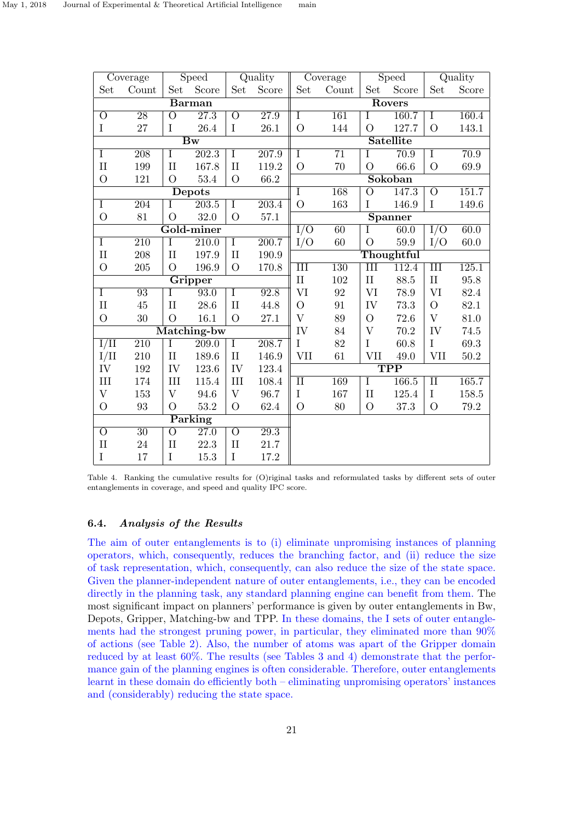| Coverage       |                  | Speed          |                          | Quality        |                   | Coverage                  |                  |                           | Speed            | Quality                 |                   |  |
|----------------|------------------|----------------|--------------------------|----------------|-------------------|---------------------------|------------------|---------------------------|------------------|-------------------------|-------------------|--|
| Set            | Count            | Set            | Score                    | Set            | Score             | Set                       | Count            | Set                       | Score            | Set                     | Score             |  |
| <b>Barman</b>  |                  |                |                          |                |                   |                           | <b>Rovers</b>    |                           |                  |                         |                   |  |
| $\overline{O}$ | 28               | $\overline{O}$ | 27.3                     | $\overline{O}$ | $\overline{27.9}$ | I                         | 161              | T                         | 160.7            | $\bf{l}$                | 160.4             |  |
| $\bf I$        | $27\,$           | $\mathbf I$    | 26.4                     | $\bf I$        | $26.1\,$          | $\overline{O}$            | 144              | $\overline{O}$            | 127.7            | $\overline{O}$          | 143.1             |  |
|                |                  |                | $\overline{\mathbf{Bw}}$ |                |                   |                           |                  |                           | <b>Satellite</b> |                         |                   |  |
| T              | $\overline{208}$ | I              | $\overline{202.3}$       | $\overline{I}$ | 207.9             | T                         | $\overline{71}$  | Ι                         | 70.9             | $\bf{I}$                | $\overline{70.9}$ |  |
| $\rm II$       | 199              | II             | 167.8                    | II             | 119.2             | $\overline{O}$            | 70               | $\overline{O}$            | 66.6             | $\overline{O}$          | $69.9\,$          |  |
| $\overline{O}$ | 121              | $\overline{O}$ | 53.4                     | $\overline{O}$ | 66.2              |                           |                  | Sokoban                   |                  |                         |                   |  |
|                |                  |                | <b>Depots</b>            |                |                   | Ι                         | 168              | $\overline{O}$            | 147.3            | $\overline{\mathrm{o}}$ | 151.7             |  |
| I              | 204              | T              | $\overline{203.5}$       | $\bf{I}$       | 203.4             | $\overline{O}$            | 163              | $\mathbf I$               | 146.9            | $\bf I$                 | 149.6             |  |
| $\overline{O}$ | 81               | $\overline{O}$ | $32.0\,$                 | $\overline{O}$ | 57.1              |                           |                  |                           | Spanner          |                         |                   |  |
|                |                  |                | Gold-miner               |                |                   | $\overline{I/O}$          | 60               | L                         | 60.0             | I/O                     | 60.0              |  |
| $\overline{I}$ | $\overline{210}$ | I              | $\overline{210.0}$       | $\overline{I}$ | 200.7             | I/O                       | 60               | $\overline{O}$            | 59.9             | I/O                     | $60.0\,$          |  |
| II             | 208              | II             | 197.9                    | $\rm II$       | 190.9             |                           |                  | Thoughtful                |                  |                         |                   |  |
| $\overline{O}$ | 205              | $\overline{O}$ | 196.9                    | $\overline{O}$ | 170.8             | $\overline{\rm III}$      | $\overline{130}$ | $\overline{\rm III}$      | 112.4            | $\overline{\rm III}$    | 125.1             |  |
|                |                  |                | Gripper                  |                |                   | $\rm II$                  | 102              | $\rm II$                  | 88.5             | $\mathbf{I}$            | $95.8\,$          |  |
| $\overline{I}$ | $\overline{93}$  | Ī              | 93.0                     | $\overline{I}$ | 92.8              | VI                        | 92               | VI                        | 78.9             | VI                      | $82.4\,$          |  |
| $\mathbf{I}$   | 45               | $\mathbf{I}$   | 28.6                     | $\rm II$       | 44.8              | $\overline{O}$            | 91               | IV                        | 73.3             | $\overline{O}$          | $82.1\,$          |  |
| $\overline{O}$ | 30               | $\overline{O}$ | 16.1                     | $\overline{O}$ | 27.1              | $\ensuremath{\mathbf{V}}$ | 89               | $\overline{O}$            | 72.6             | $\rm V$                 | 81.0              |  |
|                |                  |                | Matching-bw              |                |                   | IV                        | 84               | $\boldsymbol{\mathrm{V}}$ | 70.2             | IV                      | $74.5\,$          |  |
| I/II           | 210              | T              | 209.0                    | I              | 208.7             | I                         | 82               | $\mathbf I$               | 60.8             | I                       | $69.3\,$          |  |
| I/II           | 210              | $\mathbf{I}$   | 189.6                    | $\rm II$       | 146.9             | <b>VII</b>                | 61               | <b>VII</b>                | 49.0             | <b>VII</b>              | $50.2\,$          |  |
| ${\rm IV}$     | 192              | IV             | 123.6                    | IV             | 123.4             |                           |                  | <b>TPP</b>                |                  |                         |                   |  |
| III            | 174              | III            | 115.4                    | III            | 108.4             | $\overline{\rm II}$       | 169              | $\overline{I}$            | 166.5            | $\overline{\rm II}$     | 165.7             |  |
| $\mathbf{V}$   | 153              | $\rm V$        | 94.6                     | $\rm V$        | 96.7              | $\mathbf I$               | 167              | $\mathbf{I}$              | 125.4            | $\mathbf I$             | $158.5\,$         |  |
| $\overline{O}$ | 93               | $\overline{O}$ | 53.2                     | $\overline{O}$ | 62.4              | $\overline{O}$            | 80               | $\overline{O}$            | 37.3             | $\overline{O}$          | $79.2\,$          |  |
|                |                  | Parking        |                          |                |                   |                           |                  |                           |                  |                         |                   |  |
| $\overline{O}$ | $\overline{30}$  | $\overline{O}$ | $\overline{27.0}$        | $\overline{O}$ | $\overline{29.3}$ |                           |                  |                           |                  |                         |                   |  |
| II             | 24               | $\mathbf{I}$   | 22.3                     | $\mathbf{I}$   | 21.7              |                           |                  |                           |                  |                         |                   |  |
| $\overline{I}$ | 17               | $\mathbf I$    | 15.3                     | $\rm I$        | 17.2              |                           |                  |                           |                  |                         |                   |  |

Table 4. Ranking the cumulative results for (O)riginal tasks and reformulated tasks by different sets of outer entanglements in coverage, and speed and quality IPC score.

# 6.4. Analysis of the Results

The aim of outer entanglements is to (i) eliminate unpromising instances of planning operators, which, consequently, reduces the branching factor, and (ii) reduce the size of task representation, which, consequently, can also reduce the size of the state space. Given the planner-independent nature of outer entanglements, i.e., they can be encoded directly in the planning task, any standard planning engine can benefit from them. The most significant impact on planners' performance is given by outer entanglements in Bw, Depots, Gripper, Matching-bw and TPP. In these domains, the I sets of outer entanglements had the strongest pruning power, in particular, they eliminated more than 90% of actions (see Table 2). Also, the number of atoms was apart of the Gripper domain reduced by at least 60%. The results (see Tables 3 and 4) demonstrate that the performance gain of the planning engines is often considerable. Therefore, outer entanglements learnt in these domain do efficiently both – eliminating unpromising operators' instances and (considerably) reducing the state space.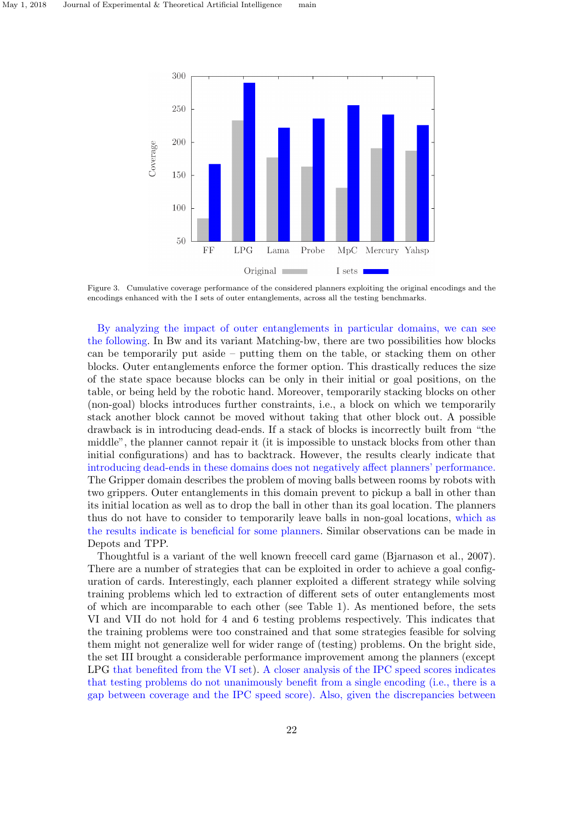

Figure 3. Cumulative coverage performance of the considered planners exploiting the original encodings and the encodings enhanced with the I sets of outer entanglements, across all the testing benchmarks.

By analyzing the impact of outer entanglements in particular domains, we can see the following. In Bw and its variant Matching-bw, there are two possibilities how blocks can be temporarily put aside – putting them on the table, or stacking them on other blocks. Outer entanglements enforce the former option. This drastically reduces the size of the state space because blocks can be only in their initial or goal positions, on the table, or being held by the robotic hand. Moreover, temporarily stacking blocks on other (non-goal) blocks introduces further constraints, i.e., a block on which we temporarily stack another block cannot be moved without taking that other block out. A possible drawback is in introducing dead-ends. If a stack of blocks is incorrectly built from "the middle", the planner cannot repair it (it is impossible to unstack blocks from other than initial configurations) and has to backtrack. However, the results clearly indicate that introducing dead-ends in these domains does not negatively affect planners' performance. The Gripper domain describes the problem of moving balls between rooms by robots with two grippers. Outer entanglements in this domain prevent to pickup a ball in other than its initial location as well as to drop the ball in other than its goal location. The planners thus do not have to consider to temporarily leave balls in non-goal locations, which as the results indicate is beneficial for some planners. Similar observations can be made in Depots and TPP.

Thoughtful is a variant of the well known freecell card game (Bjarnason et al., 2007). There are a number of strategies that can be exploited in order to achieve a goal configuration of cards. Interestingly, each planner exploited a different strategy while solving training problems which led to extraction of different sets of outer entanglements most of which are incomparable to each other (see Table 1). As mentioned before, the sets VI and VII do not hold for 4 and 6 testing problems respectively. This indicates that the training problems were too constrained and that some strategies feasible for solving them might not generalize well for wider range of (testing) problems. On the bright side, the set III brought a considerable performance improvement among the planners (except LPG that benefited from the VI set). A closer analysis of the IPC speed scores indicates that testing problems do not unanimously benefit from a single encoding (i.e., there is a gap between coverage and the IPC speed score). Also, given the discrepancies between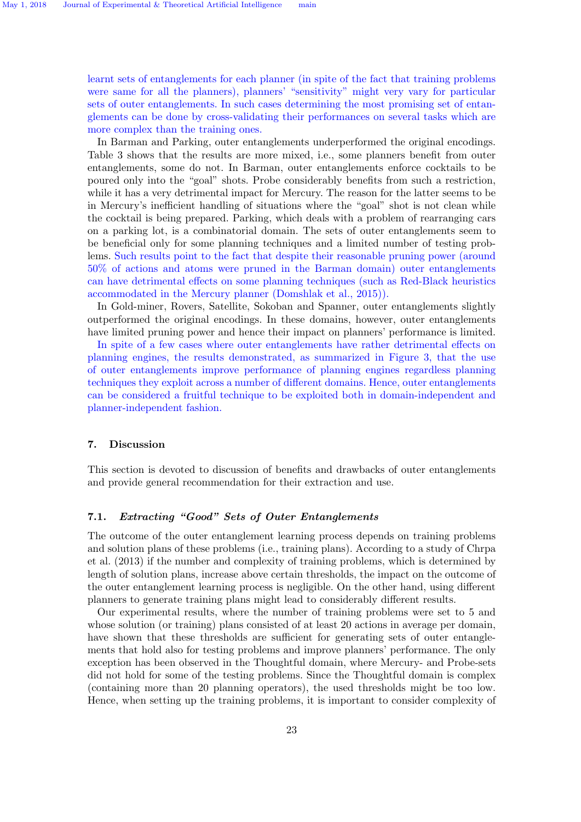learnt sets of entanglements for each planner (in spite of the fact that training problems were same for all the planners), planners' "sensitivity" might very vary for particular sets of outer entanglements. In such cases determining the most promising set of entanglements can be done by cross-validating their performances on several tasks which are more complex than the training ones.

In Barman and Parking, outer entanglements underperformed the original encodings. Table 3 shows that the results are more mixed, i.e., some planners benefit from outer entanglements, some do not. In Barman, outer entanglements enforce cocktails to be poured only into the "goal" shots. Probe considerably benefits from such a restriction, while it has a very detrimental impact for Mercury. The reason for the latter seems to be in Mercury's inefficient handling of situations where the "goal" shot is not clean while the cocktail is being prepared. Parking, which deals with a problem of rearranging cars on a parking lot, is a combinatorial domain. The sets of outer entanglements seem to be beneficial only for some planning techniques and a limited number of testing problems. Such results point to the fact that despite their reasonable pruning power (around 50% of actions and atoms were pruned in the Barman domain) outer entanglements can have detrimental effects on some planning techniques (such as Red-Black heuristics accommodated in the Mercury planner (Domshlak et al., 2015)).

In Gold-miner, Rovers, Satellite, Sokoban and Spanner, outer entanglements slightly outperformed the original encodings. In these domains, however, outer entanglements have limited pruning power and hence their impact on planners' performance is limited.

In spite of a few cases where outer entanglements have rather detrimental effects on planning engines, the results demonstrated, as summarized in Figure 3, that the use of outer entanglements improve performance of planning engines regardless planning techniques they exploit across a number of different domains. Hence, outer entanglements can be considered a fruitful technique to be exploited both in domain-independent and planner-independent fashion.

## 7. Discussion

This section is devoted to discussion of benefits and drawbacks of outer entanglements and provide general recommendation for their extraction and use.

#### 7.1. Extracting "Good" Sets of Outer Entanglements

The outcome of the outer entanglement learning process depends on training problems and solution plans of these problems (i.e., training plans). According to a study of Chrpa et al. (2013) if the number and complexity of training problems, which is determined by length of solution plans, increase above certain thresholds, the impact on the outcome of the outer entanglement learning process is negligible. On the other hand, using different planners to generate training plans might lead to considerably different results.

Our experimental results, where the number of training problems were set to 5 and whose solution (or training) plans consisted of at least 20 actions in average per domain, have shown that these thresholds are sufficient for generating sets of outer entanglements that hold also for testing problems and improve planners' performance. The only exception has been observed in the Thoughtful domain, where Mercury- and Probe-sets did not hold for some of the testing problems. Since the Thoughtful domain is complex (containing more than 20 planning operators), the used thresholds might be too low. Hence, when setting up the training problems, it is important to consider complexity of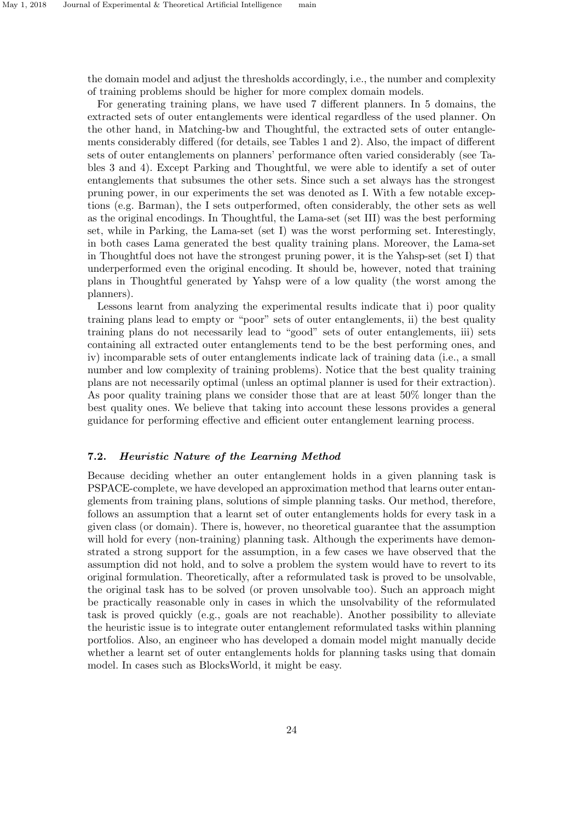the domain model and adjust the thresholds accordingly, i.e., the number and complexity of training problems should be higher for more complex domain models.

For generating training plans, we have used 7 different planners. In 5 domains, the extracted sets of outer entanglements were identical regardless of the used planner. On the other hand, in Matching-bw and Thoughtful, the extracted sets of outer entanglements considerably differed (for details, see Tables 1 and 2). Also, the impact of different sets of outer entanglements on planners' performance often varied considerably (see Tables 3 and 4). Except Parking and Thoughtful, we were able to identify a set of outer entanglements that subsumes the other sets. Since such a set always has the strongest pruning power, in our experiments the set was denoted as I. With a few notable exceptions (e.g. Barman), the I sets outperformed, often considerably, the other sets as well as the original encodings. In Thoughtful, the Lama-set (set III) was the best performing set, while in Parking, the Lama-set (set I) was the worst performing set. Interestingly, in both cases Lama generated the best quality training plans. Moreover, the Lama-set in Thoughtful does not have the strongest pruning power, it is the Yahsp-set (set I) that underperformed even the original encoding. It should be, however, noted that training plans in Thoughtful generated by Yahsp were of a low quality (the worst among the planners).

Lessons learnt from analyzing the experimental results indicate that i) poor quality training plans lead to empty or "poor" sets of outer entanglements, ii) the best quality training plans do not necessarily lead to "good" sets of outer entanglements, iii) sets containing all extracted outer entanglements tend to be the best performing ones, and iv) incomparable sets of outer entanglements indicate lack of training data (i.e., a small number and low complexity of training problems). Notice that the best quality training plans are not necessarily optimal (unless an optimal planner is used for their extraction). As poor quality training plans we consider those that are at least 50% longer than the best quality ones. We believe that taking into account these lessons provides a general guidance for performing effective and efficient outer entanglement learning process.

## 7.2. Heuristic Nature of the Learning Method

Because deciding whether an outer entanglement holds in a given planning task is PSPACE-complete, we have developed an approximation method that learns outer entanglements from training plans, solutions of simple planning tasks. Our method, therefore, follows an assumption that a learnt set of outer entanglements holds for every task in a given class (or domain). There is, however, no theoretical guarantee that the assumption will hold for every (non-training) planning task. Although the experiments have demonstrated a strong support for the assumption, in a few cases we have observed that the assumption did not hold, and to solve a problem the system would have to revert to its original formulation. Theoretically, after a reformulated task is proved to be unsolvable, the original task has to be solved (or proven unsolvable too). Such an approach might be practically reasonable only in cases in which the unsolvability of the reformulated task is proved quickly (e.g., goals are not reachable). Another possibility to alleviate the heuristic issue is to integrate outer entanglement reformulated tasks within planning portfolios. Also, an engineer who has developed a domain model might manually decide whether a learnt set of outer entanglements holds for planning tasks using that domain model. In cases such as BlocksWorld, it might be easy.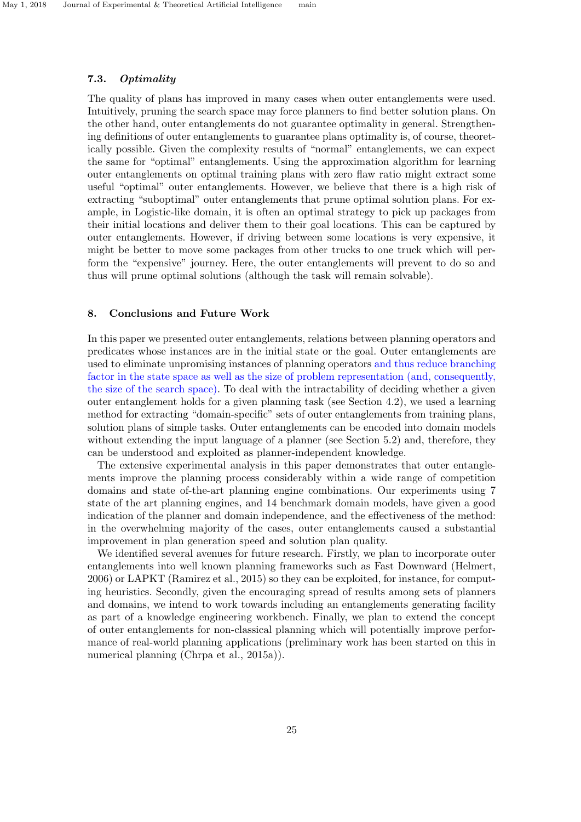#### 7.3. Optimality

The quality of plans has improved in many cases when outer entanglements were used. Intuitively, pruning the search space may force planners to find better solution plans. On the other hand, outer entanglements do not guarantee optimality in general. Strengthening definitions of outer entanglements to guarantee plans optimality is, of course, theoretically possible. Given the complexity results of "normal" entanglements, we can expect the same for "optimal" entanglements. Using the approximation algorithm for learning outer entanglements on optimal training plans with zero flaw ratio might extract some useful "optimal" outer entanglements. However, we believe that there is a high risk of extracting "suboptimal" outer entanglements that prune optimal solution plans. For example, in Logistic-like domain, it is often an optimal strategy to pick up packages from their initial locations and deliver them to their goal locations. This can be captured by outer entanglements. However, if driving between some locations is very expensive, it might be better to move some packages from other trucks to one truck which will perform the "expensive" journey. Here, the outer entanglements will prevent to do so and thus will prune optimal solutions (although the task will remain solvable).

#### 8. Conclusions and Future Work

In this paper we presented outer entanglements, relations between planning operators and predicates whose instances are in the initial state or the goal. Outer entanglements are used to eliminate unpromising instances of planning operators and thus reduce branching factor in the state space as well as the size of problem representation (and, consequently, the size of the search space). To deal with the intractability of deciding whether a given outer entanglement holds for a given planning task (see Section 4.2), we used a learning method for extracting "domain-specific" sets of outer entanglements from training plans, solution plans of simple tasks. Outer entanglements can be encoded into domain models without extending the input language of a planner (see Section 5.2) and, therefore, they can be understood and exploited as planner-independent knowledge.

The extensive experimental analysis in this paper demonstrates that outer entanglements improve the planning process considerably within a wide range of competition domains and state of-the-art planning engine combinations. Our experiments using 7 state of the art planning engines, and 14 benchmark domain models, have given a good indication of the planner and domain independence, and the effectiveness of the method: in the overwhelming majority of the cases, outer entanglements caused a substantial improvement in plan generation speed and solution plan quality.

We identified several avenues for future research. Firstly, we plan to incorporate outer entanglements into well known planning frameworks such as Fast Downward (Helmert, 2006) or LAPKT (Ramirez et al., 2015) so they can be exploited, for instance, for computing heuristics. Secondly, given the encouraging spread of results among sets of planners and domains, we intend to work towards including an entanglements generating facility as part of a knowledge engineering workbench. Finally, we plan to extend the concept of outer entanglements for non-classical planning which will potentially improve performance of real-world planning applications (preliminary work has been started on this in numerical planning (Chrpa et al., 2015a)).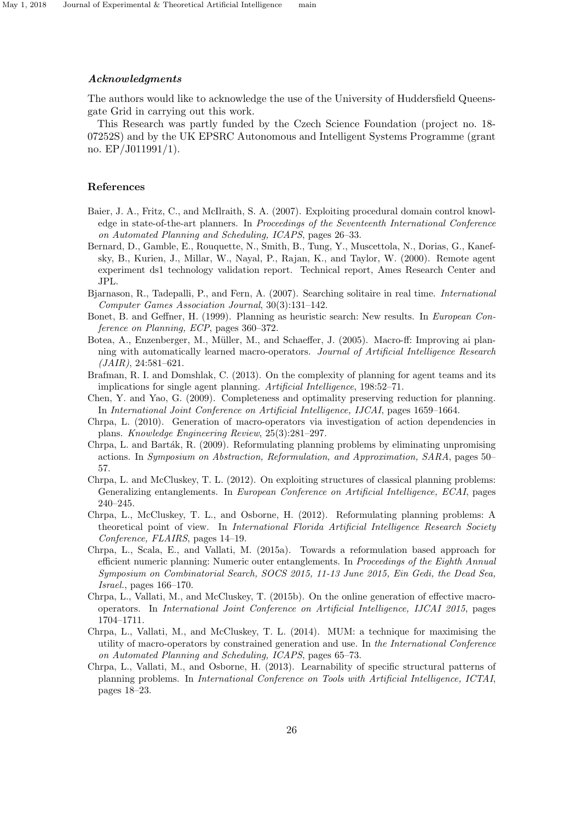#### Acknowledgments

The authors would like to acknowledge the use of the University of Huddersfield Queensgate Grid in carrying out this work.

This Research was partly funded by the Czech Science Foundation (project no. 18- 07252S) and by the UK EPSRC Autonomous and Intelligent Systems Programme (grant no.  $EP/J011991/1$ .

## References

- Baier, J. A., Fritz, C., and McIlraith, S. A. (2007). Exploiting procedural domain control knowledge in state-of-the-art planners. In Proceedings of the Seventeenth International Conference on Automated Planning and Scheduling, ICAPS, pages 26–33.
- Bernard, D., Gamble, E., Rouquette, N., Smith, B., Tung, Y., Muscettola, N., Dorias, G., Kanefsky, B., Kurien, J., Millar, W., Nayal, P., Rajan, K., and Taylor, W. (2000). Remote agent experiment ds1 technology validation report. Technical report, Ames Research Center and JPL.
- Bjarnason, R., Tadepalli, P., and Fern, A. (2007). Searching solitaire in real time. International Computer Games Association Journal, 30(3):131–142.
- Bonet, B. and Geffner, H. (1999). Planning as heuristic search: New results. In European Conference on Planning, ECP, pages 360–372.
- Botea, A., Enzenberger, M., Müller, M., and Schaeffer, J. (2005). Macro-ff: Improving ai planning with automatically learned macro-operators. Journal of Artificial Intelligence Research  $(JAIR)$ , 24:581-621.
- Brafman, R. I. and Domshlak, C. (2013). On the complexity of planning for agent teams and its implications for single agent planning. Artificial Intelligence, 198:52–71.
- Chen, Y. and Yao, G. (2009). Completeness and optimality preserving reduction for planning. In International Joint Conference on Artificial Intelligence, IJCAI, pages 1659–1664.
- Chrpa, L. (2010). Generation of macro-operators via investigation of action dependencies in plans. Knowledge Engineering Review, 25(3):281–297.
- Chrpa, L. and Barták, R. (2009). Reformulating planning problems by eliminating unpromising actions. In Symposium on Abstraction, Reformulation, and Approximation, SARA, pages 50– 57.
- Chrpa, L. and McCluskey, T. L. (2012). On exploiting structures of classical planning problems: Generalizing entanglements. In European Conference on Artificial Intelligence, ECAI, pages 240–245.
- Chrpa, L., McCluskey, T. L., and Osborne, H. (2012). Reformulating planning problems: A theoretical point of view. In International Florida Artificial Intelligence Research Society Conference, FLAIRS, pages 14–19.
- Chrpa, L., Scala, E., and Vallati, M. (2015a). Towards a reformulation based approach for efficient numeric planning: Numeric outer entanglements. In Proceedings of the Eighth Annual Symposium on Combinatorial Search, SOCS 2015, 11-13 June 2015, Ein Gedi, the Dead Sea, Israel., pages 166–170.
- Chrpa, L., Vallati, M., and McCluskey, T. (2015b). On the online generation of effective macrooperators. In International Joint Conference on Artificial Intelligence, IJCAI 2015, pages 1704–1711.
- Chrpa, L., Vallati, M., and McCluskey, T. L. (2014). MUM: a technique for maximising the utility of macro-operators by constrained generation and use. In the International Conference on Automated Planning and Scheduling, ICAPS, pages 65–73.
- Chrpa, L., Vallati, M., and Osborne, H. (2013). Learnability of specific structural patterns of planning problems. In International Conference on Tools with Artificial Intelligence, ICTAI, pages 18–23.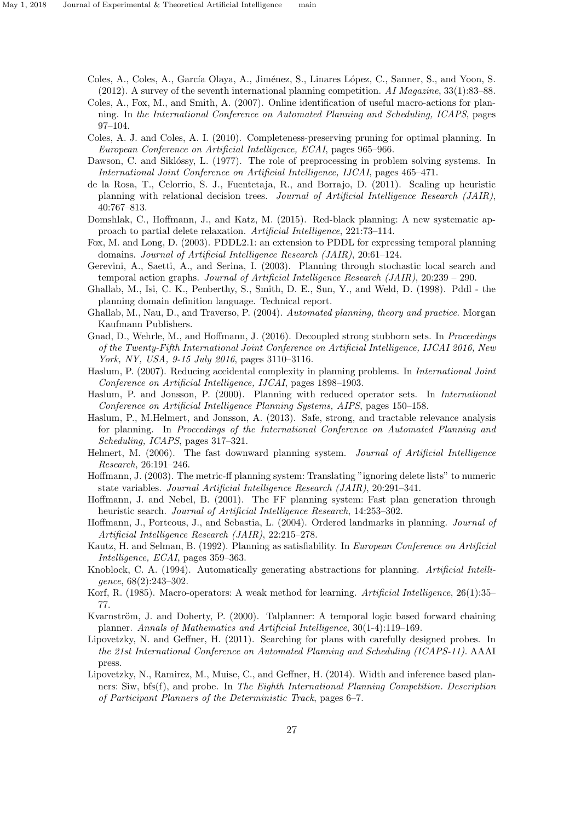Coles, A., Coles, A., García Olaya, A., Jiménez, S., Linares López, C., Sanner, S., and Yoon, S. (2012). A survey of the seventh international planning competition. AI Magazine, 33(1):83–88.

Coles, A., Fox, M., and Smith, A. (2007). Online identification of useful macro-actions for planning. In the International Conference on Automated Planning and Scheduling, ICAPS, pages 97–104.

- Coles, A. J. and Coles, A. I. (2010). Completeness-preserving pruning for optimal planning. In European Conference on Artificial Intelligence, ECAI, pages 965–966.
- Dawson, C. and Siklóssy, L. (1977). The role of preprocessing in problem solving systems. In International Joint Conference on Artificial Intelligence, IJCAI, pages 465–471.
- de la Rosa, T., Celorrio, S. J., Fuentetaja, R., and Borrajo, D. (2011). Scaling up heuristic planning with relational decision trees. Journal of Artificial Intelligence Research (JAIR), 40:767–813.
- Domshlak, C., Hoffmann, J., and Katz, M. (2015). Red-black planning: A new systematic approach to partial delete relaxation. Artificial Intelligence, 221:73–114.
- Fox, M. and Long, D. (2003). PDDL2.1: an extension to PDDL for expressing temporal planning domains. Journal of Artificial Intelligence Research (JAIR), 20:61–124.
- Gerevini, A., Saetti, A., and Serina, I. (2003). Planning through stochastic local search and temporal action graphs. Journal of Artificial Intelligence Research (JAIR), 20:239 – 290.
- Ghallab, M., Isi, C. K., Penberthy, S., Smith, D. E., Sun, Y., and Weld, D. (1998). Pddl the planning domain definition language. Technical report.
- Ghallab, M., Nau, D., and Traverso, P. (2004). Automated planning, theory and practice. Morgan Kaufmann Publishers.
- Gnad, D., Wehrle, M., and Hoffmann, J. (2016). Decoupled strong stubborn sets. In Proceedings of the Twenty-Fifth International Joint Conference on Artificial Intelligence, IJCAI 2016, New York, NY, USA, 9-15 July 2016, pages 3110–3116.
- Haslum, P. (2007). Reducing accidental complexity in planning problems. In International Joint Conference on Artificial Intelligence, IJCAI, pages 1898–1903.
- Haslum, P. and Jonsson, P. (2000). Planning with reduced operator sets. In International Conference on Artificial Intelligence Planning Systems, AIPS, pages 150–158.
- Haslum, P., M.Helmert, and Jonsson, A. (2013). Safe, strong, and tractable relevance analysis for planning. In Proceedings of the International Conference on Automated Planning and Scheduling, ICAPS, pages 317–321.
- Helmert, M. (2006). The fast downward planning system. Journal of Artificial Intelligence Research, 26:191–246.
- Hoffmann, J. (2003). The metric-ff planning system: Translating "ignoring delete lists" to numeric state variables. Journal Artificial Intelligence Research (JAIR), 20:291–341.
- Hoffmann, J. and Nebel, B. (2001). The FF planning system: Fast plan generation through heuristic search. *Journal of Artificial Intelligence Research*, 14:253-302.
- Hoffmann, J., Porteous, J., and Sebastia, L. (2004). Ordered landmarks in planning. Journal of Artificial Intelligence Research (JAIR), 22:215–278.
- Kautz, H. and Selman, B. (1992). Planning as satisfiability. In European Conference on Artificial Intelligence, ECAI, pages 359–363.
- Knoblock, C. A. (1994). Automatically generating abstractions for planning. Artificial Intelligence, 68(2):243–302.
- Korf, R. (1985). Macro-operators: A weak method for learning. Artificial Intelligence, 26(1):35– 77.
- Kvarnström, J. and Doherty, P. (2000). Talplanner: A temporal logic based forward chaining planner. Annals of Mathematics and Artificial Intelligence, 30(1-4):119–169.
- Lipovetzky, N. and Geffner, H. (2011). Searching for plans with carefully designed probes. In the 21st International Conference on Automated Planning and Scheduling (ICAPS-11). AAAI press.
- Lipovetzky, N., Ramirez, M., Muise, C., and Geffner, H. (2014). Width and inference based planners: Siw, bfs(f), and probe. In The Eighth International Planning Competition. Description of Participant Planners of the Deterministic Track, pages 6–7.